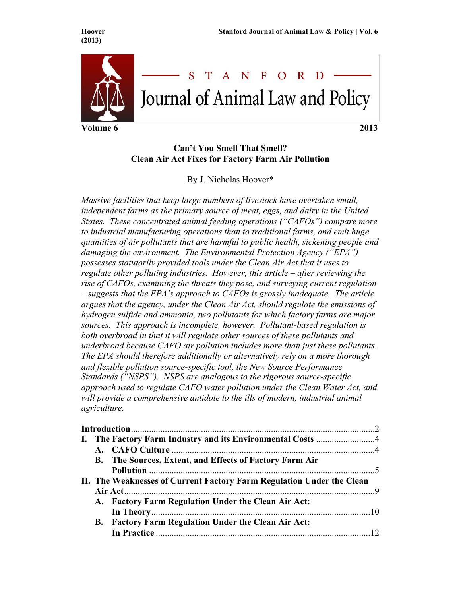

# **Can't You Smell That Smell? Clean Air Act Fixes for Factory Farm Air Pollution**

By J. Nicholas Hoover\*

*Massive facilities that keep large numbers of livestock have overtaken small,*  independent farms as the primary source of meat, eggs, and dairy in the United *States. These concentrated animal feeding operations ("CAFOs") compare more to industrial manufacturing operations than to traditional farms, and emit huge quantities of air pollutants that are harmful to public health, sickening people and damaging the environment. The Environmental Protection Agency ("EPA") possesses statutorily provided tools under the Clean Air Act that it uses to regulate other polluting industries. However, this article – after reviewing the rise of CAFOs, examining the threats they pose, and surveying current regulation – suggests that the EPA's approach to CAFOs is grossly inadequate. The article argues that the agency, under the Clean Air Act, should regulate the emissions of hydrogen sulfide and ammonia, two pollutants for which factory farms are major sources. This approach is incomplete, however. Pollutant-based regulation is both overbroad in that it will regulate other sources of these pollutants and underbroad because CAFO air pollution includes more than just these pollutants. The EPA should therefore additionally or alternatively rely on a more thorough and flexible pollution source-specific tool, the New Source Performance Standards ("NSPS"). NSPS are analogous to the rigorous source-specific approach used to regulate CAFO water pollution under the Clean Water Act, and*  will provide a comprehensive antidote to the ills of modern, industrial animal *agriculture.*

|  | <b>B.</b> The Sources, Extent, and Effects of Factory Farm Air        |  |
|--|-----------------------------------------------------------------------|--|
|  |                                                                       |  |
|  | II. The Weaknesses of Current Factory Farm Regulation Under the Clean |  |
|  |                                                                       |  |
|  | A. Factory Farm Regulation Under the Clean Air Act:                   |  |
|  |                                                                       |  |
|  | <b>B.</b> Factory Farm Regulation Under the Clean Air Act:            |  |
|  |                                                                       |  |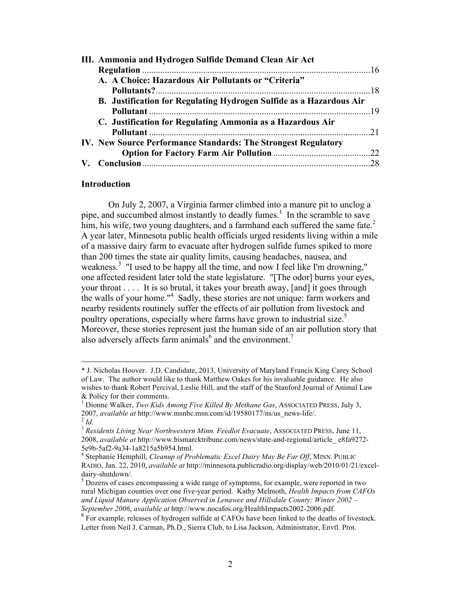| III. Ammonia and Hydrogen Sulfide Demand Clean Air Act              |  |
|---------------------------------------------------------------------|--|
|                                                                     |  |
| A. A Choice: Hazardous Air Pollutants or "Criteria"                 |  |
|                                                                     |  |
| B. Justification for Regulating Hydrogen Sulfide as a Hazardous Air |  |
|                                                                     |  |
| C. Justification for Regulating Ammonia as a Hazardous Air          |  |
|                                                                     |  |
| IV. New Source Performance Standards: The Strongest Regulatory      |  |
|                                                                     |  |
|                                                                     |  |
|                                                                     |  |

#### **Introduction**

!!!!!!!!!!!!!!!!!!!!!!!!!!!!!!!!!!!!!!!!!!!!!!!!!!!!!!!!!!!!

On July 2, 2007, a Virginia farmer climbed into a manure pit to unclog a pipe, and succumbed almost instantly to deadly fumes. <sup>1</sup> In the scramble to save him, his wife, two young daughters, and a farmhand each suffered the same fate. $2$ A year later, Minnesota public health officials urged residents living within a mile of a massive dairy farm to evacuate after hydrogen sulfide fumes spiked to more than 200 times the state air quality limits, causing headaches, nausea, and weakness.<sup>3</sup> "I used to be happy all the time, and now I feel like I'm drowning," one affected resident later told the state legislature. "[The odor] burns your eyes, your throat . . . . It is so brutal, it takes your breath away, [and] it goes through the walls of your home."<sup>4</sup> Sadly, these stories are not unique: farm workers and nearby residents routinely suffer the effects of air pollution from livestock and poultry operations, especially where farms have grown to industrial size.<sup>5</sup> Moreover, these stories represent just the human side of an air pollution story that also adversely affects farm animals<sup>6</sup> and the environment.<sup>7</sup>

<sup>\*</sup> J. Nicholas Hoover. J.D. Candidate, 2013, University of Maryland Francis King Carey School of Law. The author would like to thank Matthew Oakes for his invaluable guidance. He also wishes to thank Robert Percival, Leslie Hill, and the staff of the Stanford Journal of Animal Law & Policy for their comments.

<sup>1</sup> Dionne Walker, *Two Kids Among Five Killed By Methane Gas*, ASSOCIATED PRESS, July 3, 2007, *available at* http://www.msnbc.msn.com/id/19580177/ns/us\_news-life/. <sup>2</sup> *Id.*

<sup>&</sup>lt;sup>3</sup> Residents Living Near Northwestern Minn. Feedlot Evacuate, ASSOCIATED PRESS, June 11, 2008, *available at* http://www.bismarcktribune.com/news/state-and-regional/article\_ e8fa9272- 5e9b-5af2-9a34-1a8215a5b954.html.<br><sup>4</sup> Stephanie Hemphill, *Cleanup of Problematic Excel Dairy May Be Far Off*, MINN. PUBLIC

RADIO, Jan. 22, 2010, *available at* http://minnesota.publicradio.org/display/web/2010/01/21/exceldairy-shutdown/.<br><sup>5</sup> Dozens of cases encompassing a wide range of symptoms, for example, were reported in two

rural Michigan counties over one five-year period. Kathy Melmoth, *Health Impacts from CAFOs and Liquid Manure Application Observed in Lenawee and Hillsdale County: Winter 2002* – *September 2006*, *available at* http://www.nocafos.org/HealthImpacts2002-2006.pdf.

<sup>&</sup>lt;sup>6</sup> For example, releases of hydrogen sulfide at CAFOs have been linked to the deaths of livestock. Letter from Neil J. Carman, Ph.D., Sierra Club, to Lisa Jackson, Administrator, Envtl. Prot.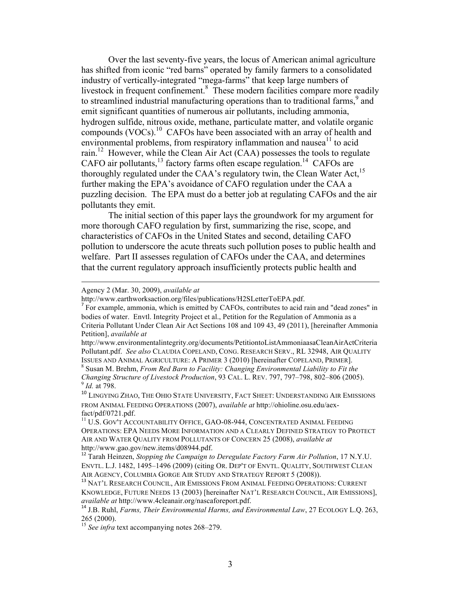Over the last seventy-five years, the locus of American animal agriculture has shifted from iconic "red barns" operated by family farmers to a consolidated industry of vertically-integrated "mega-farms" that keep large numbers of livestock in frequent confinement.<sup>8</sup> These modern facilities compare more readily to streamlined industrial manufacturing operations than to traditional farms,  $9$  and emit significant quantities of numerous air pollutants, including ammonia, hydrogen sulfide, nitrous oxide, methane, particulate matter, and volatile organic compounds (VOCs).<sup>10</sup> CAFOs have been associated with an array of health and environmental problems, from respiratory inflammation and nausea<sup>11</sup> to acid rain.<sup>12</sup> However, while the Clean Air Act (CAA) possesses the tools to regulate CAFO air pollutants,<sup>13</sup> factory farms often escape regulation.<sup>14</sup> CAFOs are thoroughly regulated under the CAA's regulatory twin, the Clean Water Act,<sup>15</sup> further making the EPA's avoidance of CAFO regulation under the CAA a puzzling decision. The EPA must do a better job at regulating CAFOs and the air pollutants they emit.

The initial section of this paper lays the groundwork for my argument for more thorough CAFO regulation by first, summarizing the rise, scope, and characteristics of CAFOs in the United States and second, detailing CAFO pollution to underscore the acute threats such pollution poses to public health and welfare. Part II assesses regulation of CAFOs under the CAA, and determines that the current regulatory approach insufficiently protects public health and

#### Agency 2 (Mar. 30, 2009), *available at*

!!!!!!!!!!!!!!!!!!!!!!!!!!!!!!!!!!!!!!!!!!!!!!!!!!!!!!!!!!!!!!!!!!!!!!!!!!!!!!!!!!!!!!!!!!!!!!!!!!!!!!!!!!!!!!!!!!!!!!!!!!!!!!!!!!!!!!!!!!!!!!!!!!!!!!!!!!!!!!!!!!!!!

http://www.earthworksaction.org/files/publications/H2SLetterToEPA.pdf.

<sup>&</sup>lt;sup>7</sup> For example, ammonia, which is emitted by CAFOs, contributes to acid rain and "dead zones" in bodies of water. Envtl. Integrity Project et al., Petition for the Regulation of Ammonia as a Criteria Pollutant Under Clean Air Act Sections 108 and 109 43, 49 (2011), [hereinafter Ammonia Petition], *available at*

http://www.environmentalintegrity.org/documents/PetitiontoListAmmoniaasaCleanAirActCriteria Pollutant.pdf. *See also* CLAUDIA COPELAND, CONG. RESEARCH SERV., RL 32948, AIR QUALITY ISSUES AND ANIMAL AGRICULTURE: <sup>A</sup> PRIMER 3 (2010) [hereinafter COPELAND, PRIMER]. <sup>8</sup> Susan M. Brehm, *From Red Barn to Facility: Changing Environmental Liability to Fit the* 

*Changing Structure of Livestock Production*, 93 CAL. L. REV. 797, 797–798, 802–806 (2005). <sup>9</sup> *Id.* at 798.

<sup>&</sup>lt;sup>10</sup> LINGYING ZHAO, THE OHIO STATE UNIVERSITY, FACT SHEET: UNDERSTANDING AIR EMISSIONS FROM ANIMAL FEEDING OPERATIONS (2007), *available at* http://ohioline.osu.edu/aexfact/pdf/0721.pdf.

<sup>&</sup>lt;sup>11</sup> U.S. GOV'T ACCOUNTABILITY OFFICE, GAO-08-944, CONCENTRATED ANIMAL FEEDING OPERATIONS: EPA NEEDS MORE INFORMATION AND A CLEARLY DEFINED STRATEGY TO PROTECT AIR AND WATER QUALITY FROM POLLUTANTS OF CONCERN 25 (2008), *available at*  http://www.gao.gov/new.items/d08944.pdf.

<sup>12</sup> Tarah Heinzen, *Stopping the Campaign to Deregulate Factory Farm Air Pollution*, 17 N.Y.U. ENVTL. L.J. 1482, 1495–1496 (2009) (citing OR. DEP'T OF ENVTL. QUALITY, SOUTHWEST CLEAN

AN AGENCY, COLUMBIA GORGE AIR STRATEGY CORGE AT AND AND STRATEGIES (2008). THE ATT STRATEGY RESEARCH COUNCIL, AIR EMISSIONS FROM ANIMAL FEEDING OPERATIONS: CURRENT KNOWLEDGE, FUTURE NEEDS 13 (2003) [hereinafter NAT'L RESEARCH COUNCIL, AIR EMISSIONS], *available at* http://www.4cleanair.org/nascaforeport.pdf. <sup>14</sup> J.B. Ruhl, *Farms, Their Environmental Harms, and Environmental Law*, 27 ECOLOGY L.Q. 263,

<sup>265 (2000).</sup>

<sup>&</sup>lt;sup>15</sup> See infra text accompanying notes 268–279.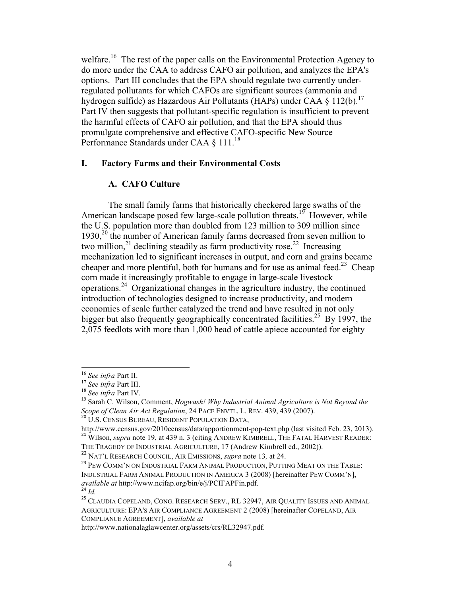welfare.<sup>16</sup> The rest of the paper calls on the Environmental Protection Agency to do more under the CAA to address CAFO air pollution, and analyzes the EPA's options. Part III concludes that the EPA should regulate two currently underregulated pollutants for which CAFOs are significant sources (ammonia and hydrogen sulfide) as Hazardous Air Pollutants (HAPs) under CAA § 112(b).<sup>17</sup> Part IV then suggests that pollutant-specific regulation is insufficient to prevent the harmful effects of CAFO air pollution, and that the EPA should thus promulgate comprehensive and effective CAFO-specific New Source Performance Standards under CAA § 111.<sup>18</sup>

### **I. Factory Farms and their Environmental Costs**

# **A. CAFO Culture**

The small family farms that historically checkered large swaths of the American landscape posed few large-scale pollution threats.<sup>19</sup> However, while the U.S. population more than doubled from 123 million to 309 million since  $1930<sub>1</sub><sup>20</sup>$  the number of American family farms decreased from seven million to two million, $^{21}$  declining steadily as farm productivity rose.<sup>22</sup> Increasing mechanization led to significant increases in output, and corn and grains became cheaper and more plentiful, both for humans and for use as animal feed.<sup>23</sup> Cheap corn made it increasingly profitable to engage in large-scale livestock operations.24 Organizational changes in the agriculture industry, the continued introduction of technologies designed to increase productivity, and modern economies of scale further catalyzed the trend and have resulted in not only bigger but also frequently geographically concentrated facilities.<sup>25</sup> By 1997, the 2,075 feedlots with more than 1,000 head of cattle apiece accounted for eighty

!!!!!!!!!!!!!!!!!!!!!!!!!!!!!!!!!!!!!!!!!!!!!!!!!!!!!!!!!!!!

<sup>22</sup> NAT'L RESEARCH COUNCIL, AIR EMISSIONS, *supra* note 13*,* at 24.

<sup>&</sup>lt;sup>16</sup> *See infra Part II.*<br><sup>17</sup> *See infra Part III.*<br><sup>18</sup> *See infra Part IV.*<br><sup>18</sup> Sarah C. Wilson, Comment, *Hogwash! Why Industrial Animal Agriculture is Not Beyond the <i>Scope of Clean Air Act Regulation*, 24 PACE ENVTL

<sup>&</sup>lt;sup>20</sup> U.S. CENSUS BUREAU, RESIDENT POPULATION DATA,

http://www.census.gov/2010census/data/apportionment-pop-text.php (last visited Feb. 23, 2013). <sup>21</sup> Wilson, *supra* note 19, at 439 n. 3 (citing ANDREW KIMBRELL, THE FATAL HARVEST READER: THE TRAGEDY OF INDUSTRIAL AGRICULTURE, 17 (Andrew Kimbrell ed., 2002)).

<sup>&</sup>lt;sup>23</sup> PEW COMM'N ON INDUSTRIAL FARM ANIMAL PRODUCTION, PUTTING MEAT ON THE TABLE: INDUSTRIAL FARM ANIMAL PRODUCTION IN AMERICA 3 (2008) [hereinafter PEW COMM'N], *available at* http://www.ncifap.org/bin/e/j/PCIFAPFin.pdf.<br><sup>24</sup> Id.

<sup>&</sup>lt;sup>25</sup> CLAUDIA COPELAND, CONG. RESEARCH SERV., RL 32947, AIR QUALITY ISSUES AND ANIMAL AGRICULTURE: EPA'S AIR COMPLIANCE AGREEMENT 2 (2008) [hereinafter COPELAND, AIR COMPLIANCE AGREEMENT], *available at* 

http://www.nationalaglawcenter.org/assets/crs/RL32947.pdf.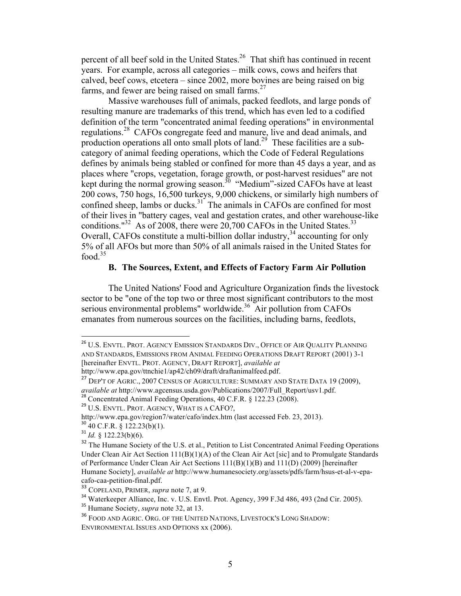percent of all beef sold in the United States.<sup>26</sup> That shift has continued in recent years. For example, across all categories – milk cows, cows and heifers that calved, beef cows, etcetera – since 2002, more bovines are being raised on big farms, and fewer are being raised on small farms. $27$ 

Massive warehouses full of animals, packed feedlots, and large ponds of resulting manure are trademarks of this trend, which has even led to a codified definition of the term "concentrated animal feeding operations" in environmental regulations.<sup>28</sup> CAFOs congregate feed and manure, live and dead animals, and production operations all onto small plots of land.<sup>29</sup> These facilities are a subcategory of animal feeding operations, which the Code of Federal Regulations defines by animals being stabled or confined for more than 45 days a year, and as places where "crops, vegetation, forage growth, or post-harvest residues" are not kept during the normal growing season.<sup>30</sup> "Medium"-sized CAFOs have at least 200 cows, 750 hogs, 16,500 turkeys, 9,000 chickens, or similarly high numbers of confined sheep, lambs or ducks.<sup>31</sup> The animals in CAFOs are confined for most of their lives in "battery cages, veal and gestation crates, and other warehouse-like conditions."<sup>32</sup> As of 2008, there were 20,700 CAFOs in the United States.<sup>33</sup> Overall, CAFOs constitute a multi-billion dollar industry,  $34$  accounting for only 5% of all AFOs but more than 50% of all animals raised in the United States for food  $35$ 

# **B. The Sources, Extent, and Effects of Factory Farm Air Pollution**

The United Nations' Food and Agriculture Organization finds the livestock sector to be "one of the top two or three most significant contributors to the most serious environmental problems" worldwide.<sup>36</sup> Air pollution from CAFOs emanates from numerous sources on the facilities, including barns, feedlots,

<sup>&</sup>lt;sup>26</sup> U.S. ENVTL. PROT. AGENCY EMISSION STANDARDS DIV., OFFICE OF AIR QUALITY PLANNING AND STANDARDS, EMISSIONS FROM ANIMAL FEEDING OPERATIONS DRAFT REPORT (2001) 3-1 [hereinafter ENVTL. PROT. AGENCY, DRAFT REPORT], *available at* http://www.epa.gov/ttnchie1/ap42/ch09/draft/draftanimalfeed.pdf.

<sup>&</sup>lt;sup>27</sup> DEP'T OF AGRIC., 2007 CENSUS OF AGRICULTURE: SUMMARY AND STATE DATA 19 (2009), *available at* http://www.agcensus.usda.gov/Publications/2007/Full\_Report/usv1.pdf.<br><sup>28</sup> Concentrated Animal Feeding Operations, 40 C.F.R. § 122.23 (2008).<br><sup>29</sup> U.S. ENVTL. PROT. AGENCY, WHAT IS A CAFO?,

http://www.epa.gov/region7/water/cafo/index.htm (last accessed Feb. 23, 2013). <sup>30</sup> 40 C.F.R. § 122.23(b)(1).

 $31$  *Id.* § 122.23(b)(6).

<sup>&</sup>lt;sup>32</sup> The Humane Society of the U.S. et al., Petition to List Concentrated Animal Feeding Operations Under Clean Air Act Section  $111(B)(1)(A)$  of the Clean Air Act [sic] and to Promulgate Standards of Performance Under Clean Air Act Sections 111(B)(1)(B) and 111(D) (2009) [hereinafter Humane Society], *available at* http://www.humanesociety.org/assets/pdfs/farm/hsus-et-al-v-epacafo-caa-petition-final.pdf.

<sup>33</sup> COPELAND, PRIMER, *supra* note 7, at 9.

<sup>&</sup>lt;sup>34</sup> Waterkeeper Alliance, Inc. v. U.S. Envtl. Prot. Agency, 399 F.3d 486, 493 (2nd Cir. 2005).

<sup>35</sup> Humane Society, *supra* note 32, at 13.

<sup>36</sup> FOOD AND AGRIC. ORG. OF THE UNITED NATIONS, LIVESTOCK'S LONG SHADOW:

ENVIRONMENTAL ISSUES AND OPTIONS xx (2006).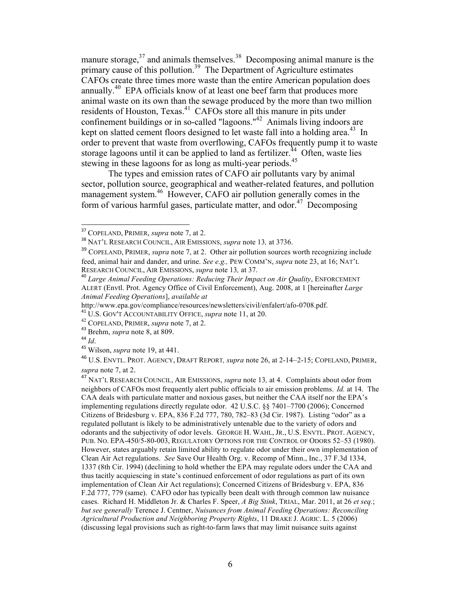manure storage, $37$  and animals themselves. $38$  Decomposing animal manure is the primary cause of this pollution.<sup>39</sup> The Department of Agriculture estimates CAFOs create three times more waste than the entire American population does annually.40 EPA officials know of at least one beef farm that produces more animal waste on its own than the sewage produced by the more than two million residents of Houston, Texas.<sup>41</sup> CAFOs store all this manure in pits under confinement buildings or in so-called "lagoons."42 Animals living indoors are kept on slatted cement floors designed to let waste fall into a holding area.<sup>43</sup> In order to prevent that waste from overflowing, CAFOs frequently pump it to waste storage lagoons until it can be applied to land as fertilizer.<sup>44</sup> Often, waste lies stewing in these lagoons for as long as multi-year periods.<sup>45</sup>

The types and emission rates of CAFO air pollutants vary by animal sector, pollution source, geographical and weather-related features, and pollution management system.<sup>46</sup> However, CAFO air pollution generally comes in the form of various harmful gases, particulate matter, and odor.<sup>47</sup> Decomposing

<sup>46</sup> U.S. ENVTL. PROT. AGENCY, DRAFT REPORT*, supra* note 26, at 2-14–2-15; COPELAND, PRIMER, *supra* note 7, at 2.

<sup>&</sup>lt;sup>37</sup> COPELAND, PRIMER, *supra* note 7, at 2.

<sup>38</sup> NAT'L RESEARCH COUNCIL, AIR EMISSIONS, *supra* note 13*,* at 3736.

<sup>39</sup> COPELAND, PRIMER, *supra* note 7, at 2. Other air pollution sources worth recognizing include feed, animal hair and dander, and urine. *See e.g.,* PEW COMM'N, *supra* note 23, at 16; NAT'L

<sup>&</sup>lt;sup>40</sup> Large Animal Feeding Operations: Reducing Their Impact on Air Quality, ENFORCEMENT ALERT (Envtl. Prot. Agency Office of Civil Enforcement), Aug. 2008, at 1 [hereinafter *Large Animal Feeding Operations*], *available at*

http://www.epa.gov/compliance/resources/newsletters/civil/enfalert/afo-0708.pdf. <sup>41</sup> U.S. GOV'T ACCOUNTABILITY OFFICE, *supra* note 11, at 20.

<sup>42</sup> COPELAND, PRIMER, *supra* note 7, at 2. <sup>43</sup> Brehm, *supra* note 8, at 809.

<sup>44</sup> *Id*.

<sup>45</sup> Wilson, *supra* note 19, at 441.

<sup>47</sup> NAT'L RESEARCH COUNCIL, AIR EMISSIONS, *supra* note 13*,* at 4. Complaints about odor from neighbors of CAFOs most frequently alert public officials to air emission problems. *Id.* at 14.The CAA deals with particulate matter and noxious gases, but neither the CAA itself nor the EPA's implementing regulations directly regulate odor. 42 U.S.C. §§ 7401–7700 (2006); Concerned Citizens of Bridesburg v. EPA, 836 F.2d 777, 780, 782–83 (3d Cir. 1987). Listing "odor" as a regulated pollutant is likely to be administratively untenable due to the variety of odors and odorants and the subjectivity of odor levels. GEORGE H. WAHL, JR., U.S. ENVTL. PROT. AGENCY, PUB. NO. EPA-450/5-80-003, REGULATORY OPTIONS FOR THE CONTROL OF ODORS 52–53 (1980). However, states arguably retain limited ability to regulate odor under their own implementation of Clean Air Act regulations. *See* Save Our Health Org. v. Recomp of Minn., Inc., 37 F.3d 1334, 1337 (8th Cir. 1994) (declining to hold whether the EPA may regulate odors under the CAA and thus tacitly acquiescing in state's continued enforcement of odor regulations as part of its own implementation of Clean Air Act regulations); Concerned Citizens of Bridesburg v. EPA, 836 F.2d 777, 779 (same). CAFO odor has typically been dealt with through common law nuisance cases. Richard H. Middleton Jr. & Charles F. Speer, *A Big Stink*, TRIAL, Mar. 2011, at 26 *et seq.*; *but see generally* Terence J. Centner, *Nuisances from Animal Feeding Operations: Reconciling Agricultural Production and Neighboring Property Rights*, 11 DRAKE J. AGRIC. L. 5 (2006) (discussing legal provisions such as right-to-farm laws that may limit nuisance suits against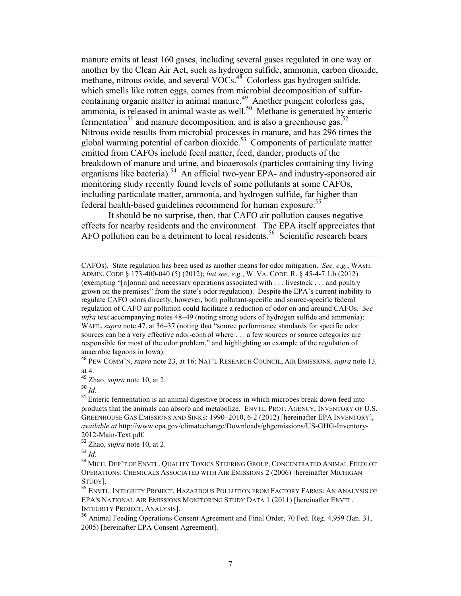manure emits at least 160 gases, including several gases regulated in one way or another by the Clean Air Act, such as hydrogen sulfide, ammonia, carbon dioxide, methane, nitrous oxide, and several VOCs.<sup>48</sup> Colorless gas hydrogen sulfide, which smells like rotten eggs, comes from microbial decomposition of sulfurcontaining organic matter in animal manure.<sup>49</sup> Another pungent colorless gas, ammonia, is released in animal waste as well.<sup>50</sup> Methane is generated by enteric fermentation<sup>51</sup> and manure decomposition, and is also a greenhouse gas.<sup>52</sup> Nitrous oxide results from microbial processes in manure, and has 296 times the global warming potential of carbon dioxide.<sup>53</sup> Components of particulate matter emitted from CAFOs include fecal matter, feed, dander, products of the breakdown of manure and urine, and bioaerosols (particles containing tiny living organisms like bacteria).<sup>54</sup> An official two-year EPA- and industry-sponsored air monitoring study recently found levels of some pollutants at some CAFOs, including particulate matter, ammonia, and hydrogen sulfide, far higher than federal health-based guidelines recommend for human exposure.<sup>55</sup>

It should be no surprise, then, that CAFO air pollution causes negative effects for nearby residents and the environment. The EPA itself appreciates that AFO pollution can be a detriment to local residents.<sup>56</sup> Scientific research bears

!!!!!!!!!!!!!!!!!!!!!!!!!!!!!!!!!!!!!!!!!!!!!!!!!!!!!!!!!!!!!!!!!!!!!!!!!!!!!!!!!!!!!!!!!!!!!!!!!!!!!!!!!!!!!!!!!!!!!!!!!!!!!!!!!!!!!!!!!!!!!!!!!!!!!!!!!!!!!!!!!!!!!

CAFOs). State regulation has been used as another means for odor mitigation. *See, e.g.*, WASH. ADMIN. CODE § 173-400-040 (5) (2012); *but see, e.g.*, W. VA. CODE. R. § 45-4-7.1.b (2012) (exempting "[n]ormal and necessary operations associated with . . . livestock . . . and poultry grown on the premises" from the state's odor regulation). Despite the EPA's current inability to regulate CAFO odors directly, however, both pollutant-specific and source-specific federal regulation of CAFO air pollution could facilitate a reduction of odor on and around CAFOs. *See infra* text accompanying notes 48–49 (noting strong odors of hydrogen sulfide and ammonia); WAHL, *supra* note 47, at 36–37 (noting that "source performance standards for specific odor sources can be a very effective odor-control where . . . a few sources or source categories are responsible for most of the odor problem," and highlighting an example of the regulation of anaerobic lagoons in Iowa).

<sup>48</sup> PEW COMM'N, *supra* note 23, at 16; NAT'L RESEARCH COUNCIL, AIR EMISSIONS, *supra* note 13*,*  at 4.

<sup>49</sup> Zhao, *supra* note 10, at 2.

<sup>50</sup> *Id*.

<sup>&</sup>lt;sup>51</sup> Enteric fermentation is an animal digestive process in which microbes break down feed into products that the animals can absorb and metabolize. ENVTL. PROT. AGENCY, INVENTORY OF U.S. GREENHOUSE GAS EMISSIONS AND SINKS: 1990–2010, 6-2 (2012) [hereinafter EPA INVENTORY], *available at* http://www.epa.gov/climatechange/Downloads/ghgemissions/US-GHG-Inventory-2012-Main-Text.pdf.

<sup>52</sup> Zhao, *supra* note 10, at 2.

<sup>53</sup> *Id*.

<sup>&</sup>lt;sup>54</sup> MICH. DEP'T OF ENVTL. QUALITY TOXICS STEERING GROUP, CONCENTRATED ANIMAL FEEDLOT OPERATIONS: CHEMICALS ASSOCIATED WITH AIR EMISSIONS 2 (2006) [hereinafter MICHIGAN STUDY].

<sup>&</sup>lt;sup>55</sup> ENVTL. INTEGRITY PROJECT, HAZARDOUS POLLUTION FROM FACTORY FARMS: AN ANALYSIS OF EPA'S NATIONAL AIR EMISSIONS MONITORING STUDY DATA 1 (2011) [hereinafter ENVTL. INTEGRITY PROJECT, ANALYSIS].

<sup>56</sup> Animal Feeding Operations Consent Agreement and Final Order, 70 Fed. Reg. 4,959 (Jan. 31, 2005) [hereinafter EPA Consent Agreement].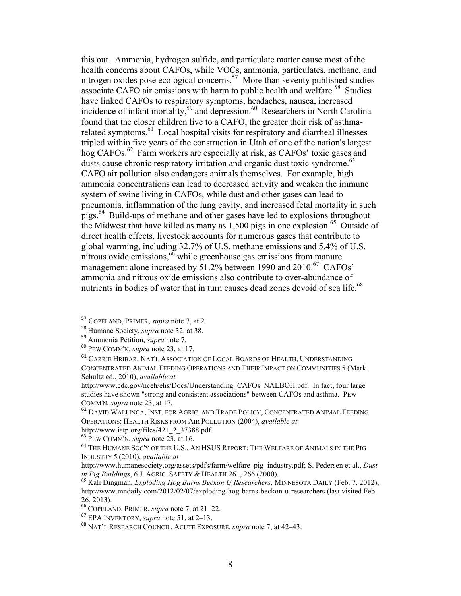this out. Ammonia, hydrogen sulfide, and particulate matter cause most of the health concerns about CAFOs, while VOCs, ammonia, particulates, methane, and nitrogen oxides pose ecological concerns.<sup>57</sup> More than seventy published studies associate CAFO air emissions with harm to public health and welfare.<sup>58</sup> Studies have linked CAFOs to respiratory symptoms, headaches, nausea, increased incidence of infant mortality,<sup>59</sup> and depression.<sup>60</sup> Researchers in North Carolina found that the closer children live to a CAFO, the greater their risk of asthmarelated symptoms.<sup>61</sup> Local hospital visits for respiratory and diarrheal illnesses tripled within five years of the construction in Utah of one of the nation's largest hog CAFOs.<sup>62</sup> Farm workers are especially at risk, as CAFOs' toxic gases and dusts cause chronic respiratory irritation and organic dust toxic syndrome.<sup>63</sup> CAFO air pollution also endangers animals themselves. For example, high ammonia concentrations can lead to decreased activity and weaken the immune system of swine living in CAFOs, while dust and other gases can lead to pneumonia, inflammation of the lung cavity, and increased fetal mortality in such pigs.64 Build-ups of methane and other gases have led to explosions throughout the Midwest that have killed as many as 1,500 pigs in one explosion.<sup>65</sup> Outside of direct health effects, livestock accounts for numerous gases that contribute to global warming, including 32.7% of U.S. methane emissions and 5.4% of U.S. nitrous oxide emissions,  $66$  while greenhouse gas emissions from manure management alone increased by 51.2% between 1990 and 2010.<sup>67</sup> CAFOs' ammonia and nitrous oxide emissions also contribute to over-abundance of nutrients in bodies of water that in turn causes dead zones devoid of sea life.<sup>68</sup>

<sup>57</sup> COPELAND, PRIMER, *supra* note 7, at 2.

<sup>58</sup> Humane Society, *supra* note 32, at 38.

<sup>59</sup> Ammonia Petition, *supra* note 7.

<sup>60</sup> PEW COMM'N, *supra* note 23, at 17.

<sup>61</sup> CARRIE HRIBAR, NAT'L ASSOCIATION OF LOCAL BOARDS OF HEALTH, UNDERSTANDING CONCENTRATED ANIMAL FEEDING OPERATIONS AND THEIR IMPACT ON COMMUNITIES 5 (Mark Schultz ed., 2010), *available at*

http://www.cdc.gov/nceh/ehs/Docs/Understanding\_CAFOs\_NALBOH.pdf. In fact, four large studies have shown "strong and consistent associations" between CAFOs and asthma. PEW COMM'N, *supra* note 23, at 17.

<sup>&</sup>lt;sup>62</sup> DAVID WALLINGA, INST. FOR AGRIC. AND TRADE POLICY, CONCENTRATED ANIMAL FEEDING OPERATIONS: HEALTH RISKS FROM AIR POLLUTION (2004), *available at*

http://www.iatp.org/files/421\_2\_37388.pdf.<br><sup>63</sup> PEW COMM'N, *supra* note 23, at 16.

<sup>&</sup>lt;sup>64</sup> THE HUMANE SOC'Y OF THE U.S., AN HSUS REPORT: THE WELFARE OF ANIMALS IN THE PIG INDUSTRY 5 (2010), *available at*

http://www.humanesociety.org/assets/pdfs/farm/welfare\_pig\_industry.pdf; S. Pedersen et al., *Dust* 

<sup>&</sup>lt;sup>65</sup> Kali Dingman, *Exploding Hog Barns Beckon U Researchers*, MINNESOTA DAILY (Feb. 7, 2012), http://www.mndaily.com/2012/02/07/exploding-hog-barns-beckon-u-researchers (last visited Feb. 26, 2013).

<sup>66</sup> COPELAND, PRIMER, *supra* note 7, at 21–22.

<sup>67</sup> EPA INVENTORY, *supra* note 51, at 2–13.

<sup>68</sup> NAT'L RESEARCH COUNCIL, ACUTE EXPOSURE, *supra* note 7, at 42–43.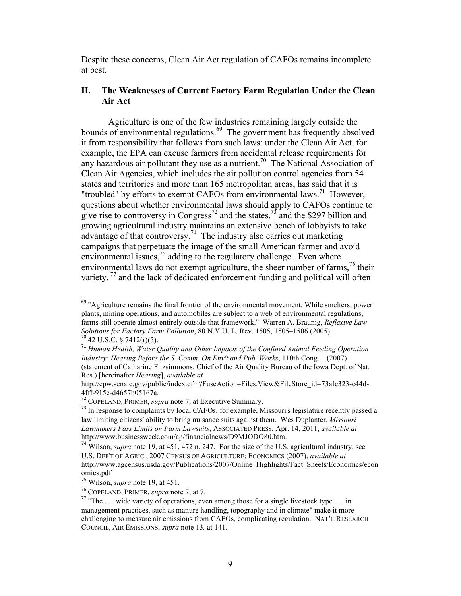Despite these concerns, Clean Air Act regulation of CAFOs remains incomplete at best.

#### **II. The Weaknesses of Current Factory Farm Regulation Under the Clean Air Act**

Agriculture is one of the few industries remaining largely outside the bounds of environmental regulations.<sup>69</sup> The government has frequently absolved it from responsibility that follows from such laws: under the Clean Air Act, for example, the EPA can excuse farmers from accidental release requirements for any hazardous air pollutant they use as a nutrient.<sup>70</sup> The National Association of Clean Air Agencies, which includes the air pollution control agencies from 54 states and territories and more than 165 metropolitan areas, has said that it is "troubled" by efforts to exempt CAFOs from environmental laws.<sup>71</sup> However, questions about whether environmental laws should apply to CAFOs continue to give rise to controversy in Congress<sup>72</sup> and the states,  $\frac{1}{2}$  and the \$297 billion and growing agricultural industry maintains an extensive bench of lobbyists to take advantage of that controversy.<sup>74</sup> The industry also carries out marketing campaigns that perpetuate the image of the small American farmer and avoid environmental issues, $7<sup>5</sup>$  adding to the regulatory challenge. Even where environmental laws do not exempt agriculture, the sheer number of farms,  $^{76}$  their variety,  $\frac{77}{2}$  and the lack of dedicated enforcement funding and political will often

 $69$  "Agriculture remains the final frontier of the environmental movement. While smelters, power plants, mining operations, and automobiles are subject to a web of environmental regulations, farms still operate almost entirely outside that framework." Warren A. Braunig, *Reflexive Law Solutions for Factory Farm Pollution*, 80 N.Y.U. L. Rev. 1505, 1505–1506 (2005). <sup>70</sup> 42 U.S.C. § 7412(r)(5).

<sup>71</sup> *Human Health, Water Quality and Other Impacts of the Confined Animal Feeding Operation Industry: Hearing Before the S. Comm. On Env't and Pub. Works*, 110th Cong. 1 (2007) (statement of Catharine Fitzsimmons, Chief of the Air Quality Bureau of the Iowa Dept. of Nat. Res.) [hereinafter *Hearing*], *available at*

http://epw.senate.gov/public/index.cfm?FuseAction=Files.View&FileStore\_id=73afc323-c44d-4fff-915e-d4657b05167a. <sup>72</sup> COPELAND, PRIMER, *supra* note 7, at Executive Summary.

 $73$  In response to complaints by local CAFOs, for example, Missouri's legislature recently passed a law limiting citizens' ability to bring nuisance suits against them. Wes Duplanter, *Missouri Lawmakers Pass Limits on Farm Lawsuits*, ASSOCIATED PRESS, Apr. 14, 2011, *available at* http://www.businessweek.com/ap/financialnews/D9MJODO80.htm.

<sup>74</sup> Wilson, *supra* note 19, at 451, 472 n. 247. For the size of the U.S. agricultural industry, see U.S. DEP'T OF AGRIC., 2007 CENSUS OF AGRICULTURE: ECONOMICS (2007), *available at* http://www.agcensus.usda.gov/Publications/2007/Online\_Highlights/Fact\_Sheets/Economics/econ omics.pdf.

<sup>&</sup>lt;sup>75</sup> Wilson, *supra* note 19, at 451.<br><sup>76</sup> COPELAND, PRIMER, *supra* note 7, at 7.

<sup>&</sup>lt;sup>77</sup> "The . . . wide variety of operations, even among those for a single livestock type . . . in management practices, such as manure handling, topography and in climate" make it more challenging to measure air emissions from CAFOs, complicating regulation. NAT'L RESEARCH COUNCIL, AIR EMISSIONS, *supra* note 13*,* at 141.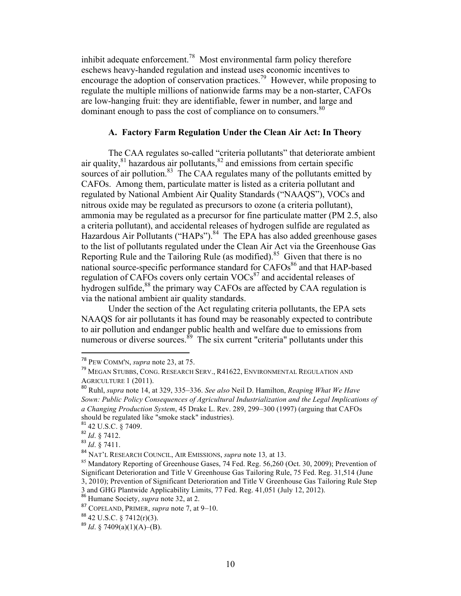inhibit adequate enforcement.78 Most environmental farm policy therefore eschews heavy-handed regulation and instead uses economic incentives to encourage the adoption of conservation practices.<sup>79</sup> However, while proposing to regulate the multiple millions of nationwide farms may be a non-starter, CAFOs are low-hanging fruit: they are identifiable, fewer in number, and large and dominant enough to pass the cost of compliance on to consumers.<sup>80</sup>

#### **A. Factory Farm Regulation Under the Clean Air Act: In Theory**

The CAA regulates so-called "criteria pollutants" that deteriorate ambient air quality, $81$  hazardous air pollutants, $82$  and emissions from certain specific sources of air pollution. $83$  The CAA regulates many of the pollutants emitted by CAFOs. Among them, particulate matter is listed as a criteria pollutant and regulated by National Ambient Air Quality Standards ("NAAQS"), VOCs and nitrous oxide may be regulated as precursors to ozone (a criteria pollutant), ammonia may be regulated as a precursor for fine particulate matter (PM 2.5, also a criteria pollutant), and accidental releases of hydrogen sulfide are regulated as Hazardous Air Pollutants ("HAPs").<sup>84</sup> The EPA has also added greenhouse gases to the list of pollutants regulated under the Clean Air Act via the Greenhouse Gas Reporting Rule and the Tailoring Rule (as modified).<sup>85</sup> Given that there is no national source-specific performance standard for  $\widehat{C}$ AFOs<sup>86</sup> and that HAP-based regulation of CAFOs covers only certain  $VOCs<sup>87</sup>$  and accidental releases of hydrogen sulfide, $88$  the primary way CAFOs are affected by CAA regulation is via the national ambient air quality standards.

Under the section of the Act regulating criteria pollutants, the EPA sets NAAQS for air pollutants it has found may be reasonably expected to contribute to air pollution and endanger public health and welfare due to emissions from numerous or diverse sources.  $89$  The six current "criteria" pollutants under this

<sup>!!!!!!!!!!!!!!!!!!!!!!!!!!!!!!!!!!!!!!!!!!!!!!!!!!!!!!!!!!!!</sup> <sup>78</sup> PEW COMM'N, *supra* note 23, at 75.

<sup>79</sup> MEGAN STUBBS, CONG. RESEARCH SERV., R41622, ENVIRONMENTAL REGULATION AND AGRICULTURE 1 (2011).

<sup>80</sup> Ruhl, *supra* note 14, at 329, 335–336. *See also* Neil D. Hamilton, *Reaping What We Have Sown: Public Policy Consequences of Agricultural Industrialization and the Legal Implications of a Changing Production System*, 45 Drake L. Rev. 289, 299–300 (1997) (arguing that CAFOs should be regulated like "smoke stack" industries).

<sup>81</sup> 42 U.S.C. § 7409.

<sup>82</sup> *Id*. § 7412.

<sup>83</sup> *Id*. § 7411.

<sup>&</sup>lt;sup>84</sup> NAT'L RESEARCH COUNCIL, AIR EMISSIONS, *supra* note 13, at 13.<br><sup>85</sup> Mandatory Reporting of Greenhouse Gases, 74 Fed. Reg. 56,260 (Oct. 30, 2009); Prevention of Significant Deterioration and Title V Greenhouse Gas Tailoring Rule, 75 Fed. Reg. 31,514 (June 3, 2010); Prevention of Significant Deterioration and Title V Greenhouse Gas Tailoring Rule Step 3 and GHG Plantwide Applicability Limits, 77 Fed. Reg. 41,051 (July 12, 2012).

<sup>86</sup> Humane Society, *supra* note 32, at 2.

<sup>87</sup> COPELAND, PRIMER, *supra* note 7, at 9–10.

 $8842$  U.S.C. § 7412(r)(3).

 $^{89}$  *Id.* § 7409(a)(1)(A)–(B).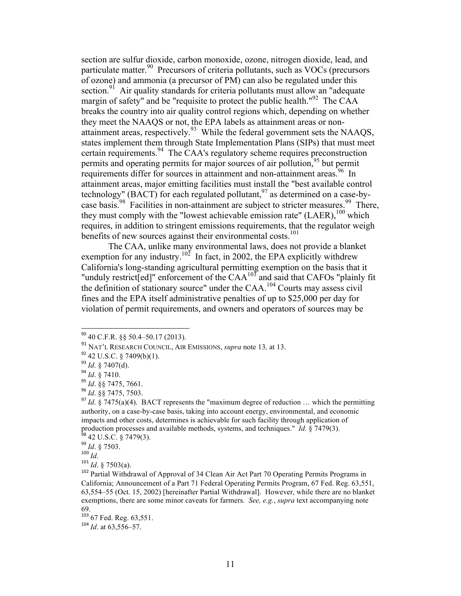section are sulfur dioxide, carbon monoxide, ozone, nitrogen dioxide, lead, and particulate matter.<sup>90</sup> Precursors of criteria pollutants, such as VOCs (precursors of ozone) and ammonia (a precursor of PM) can also be regulated under this section.<sup>91</sup> Air quality standards for criteria pollutants must allow an "adequate margin of safety" and be "requisite to protect the public health." $^{92}$  The CAA breaks the country into air quality control regions which, depending on whether they meet the NAAQS or not, the EPA labels as attainment areas or nonattainment areas, respectively.<sup>93</sup> While the federal government sets the NAAQS, states implement them through State Implementation Plans (SIPs) that must meet certain requirements.<sup>94</sup> The CAA's regulatory scheme requires preconstruction permits and operating permits for major sources of air pollution,<sup>95</sup> but permit requirements differ for sources in attainment and non-attainment areas.<sup>96</sup> In attainment areas, major emitting facilities must install the "best available control technology" (BACT) for each regulated pollutant, $97$  as determined on a case-bycase basis.<sup>98</sup> Facilities in non-attainment are subject to stricter measures.<sup>99</sup> There, they must comply with the "lowest achievable emission rate" (LAER), <sup>100</sup> which requires, in addition to stringent emissions requirements, that the regulator weigh benefits of new sources against their environmental costs.<sup>101</sup>

The CAA, unlike many environmental laws, does not provide a blanket exemption for any industry.<sup>102</sup> In fact, in 2002, the EPA explicitly withdrew California's long-standing agricultural permitting exemption on the basis that it "unduly restrict[ed]" enforcement of the  $CAA^{103}$  and said that CAFOs "plainly fit" the definition of stationary source" under the CAA.<sup>104</sup> Courts may assess civil fines and the EPA itself administrative penalties of up to \$25,000 per day for violation of permit requirements, and owners and operators of sources may be

<sup>100</sup> *Id*.

 $^{104}$  *Id.* at 63.556–57.

<sup>!!!!!!!!!!!!!!!!!!!!!!!!!!!!!!!!!!!!!!!!!!!!!!!!!!!!!!!!!!!!</sup> <sup>90</sup> 40 C.F.R. §§ 50.4–50.17 (2013).

<sup>91</sup> NAT'L RESEARCH COUNCIL, AIR EMISSIONS, *supra* note 13*,* at 13.

<sup>92</sup> 42 U.S.C. § 7409(b)(1).

<sup>93</sup> *Id*. § 7407(d).

<sup>94</sup> *Id*. § 7410.

<sup>95</sup> *Id*. §§ 7475, 7661.

<sup>96</sup> *Id*. §§ 7475, 7503.

 $^{97}$  *Id.*  $\frac{8}{3}$  7475(a)(4). BACT represents the "maximum degree of reduction ... which the permitting authority, on a case-by-case basis, taking into account energy, environmental, and economic impacts and other costs, determines is achievable for such facility through application of production processes and available methods, systems, and techniques." *Id.*  $\frac{8}{9}$  7479(3). <sup>98</sup> 42 U.S.C. § 7479(3).

<sup>99</sup> *Id*. § 7503.

 $^{101}$  *Id.* § 7503(a).

<sup>&</sup>lt;sup>102</sup> Partial Withdrawal of Approval of 34 Clean Air Act Part 70 Operating Permits Programs in California; Announcement of a Part 71 Federal Operating Permits Program, 67 Fed. Reg. 63,551, 63,554–55 (Oct. 15, 2002) [hereinafter Partial Withdrawal]. However, while there are no blanket exemptions, there are some minor caveats for farmers. *See, e.g.*, *supra* text accompanying note 69.

 $^{103}$  67 Fed. Reg. 63,551.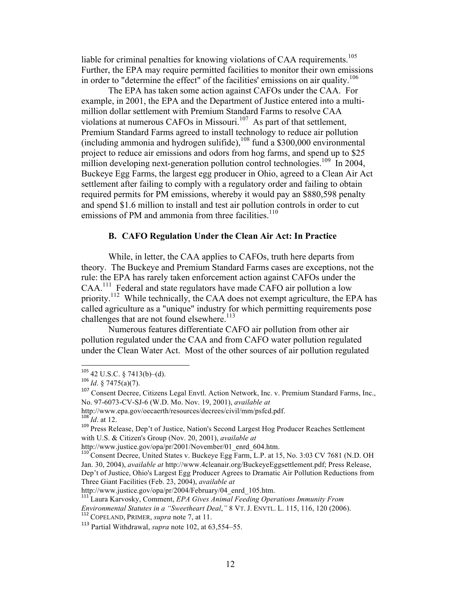liable for criminal penalties for knowing violations of CAA requirements.<sup>105</sup> Further, the EPA may require permitted facilities to monitor their own emissions in order to "determine the effect" of the facilities' emissions on air quality.<sup>106</sup>

The EPA has taken some action against CAFOs under the CAA. For example, in 2001, the EPA and the Department of Justice entered into a multimillion dollar settlement with Premium Standard Farms to resolve CAA violations at numerous CAFOs in Missouri.<sup>107</sup> As part of that settlement, Premium Standard Farms agreed to install technology to reduce air pollution (including ammonia and hydrogen sulifide),  $^{108}$  fund a \$300,000 environmental project to reduce air emissions and odors from hog farms, and spend up to \$25 million developing next-generation pollution control technologies.<sup>109</sup> In 2004, Buckeye Egg Farms, the largest egg producer in Ohio, agreed to a Clean Air Act settlement after failing to comply with a regulatory order and failing to obtain required permits for PM emissions, whereby it would pay an \$880,598 penalty and spend \$1.6 million to install and test air pollution controls in order to cut emissions of PM and ammonia from three facilities.<sup>110</sup>

### **B. CAFO Regulation Under the Clean Air Act: In Practice**

While, in letter, the CAA applies to CAFOs, truth here departs from theory. The Buckeye and Premium Standard Farms cases are exceptions, not the rule: the EPA has rarely taken enforcement action against CAFOs under the CAA.111 Federal and state regulators have made CAFO air pollution a low priority.<sup>112</sup> While technically, the CAA does not exempt agriculture, the EPA has called agriculture as a "unique" industry for which permitting requirements pose challenges that are not found elsewhere.<sup>113</sup>

Numerous features differentiate CAFO air pollution from other air pollution regulated under the CAA and from CAFO water pollution regulated under the Clean Water Act. Most of the other sources of air pollution regulated

 $105$  42 U.S.C. § 7413(b)–(d).

<sup>106</sup> *Id*. § 7475(a)(7).

<sup>&</sup>lt;sup>107</sup> Consent Decree, Citizens Legal Envtl. Action Network, Inc. v. Premium Standard Farms, Inc., No. 97-6073-CV-SJ-6 (W.D. Mo. Nov. 19, 2001), *available at*

http://www.epa.gov/oecaerth/resources/decrees/civil/mm/psfcd.pdf. <sup>108</sup> *Id*. at 12.

<sup>109</sup> Press Release, Dep't of Justice, Nation's Second Largest Hog Producer Reaches Settlement with U.S. & Citizen's Group (Nov. 20, 2001), *available at* 

http://www.justice.gov/opa/pr/2001/November/01\_enrd\_604.htm.<br><sup>110</sup> Consent Decree, United States v. Buckeye Egg Farm, L.P. at 15, No. 3:03 CV 7681 (N.D. OH Jan. 30, 2004), *available at* http://www.4cleanair.org/BuckeyeEggsettlement.pdf; Press Release, Dep't of Justice, Ohio's Largest Egg Producer Agrees to Dramatic Air Pollution Reductions from Three Giant Facilities (Feb. 23, 2004), *available at*

http://www.justice.gov/opa/pr/2004/February/04\_enrd\_105.htm.

<sup>111</sup> Laura Karvosky, Comment, *EPA Gives Animal Feeding Operations Immunity From* 

*Environmental Statutes in a "Sweetheart Deal*,*"* 8 VT. J. ENVTL. L. 115, 116, 120 (2006). <sup>112</sup> COPELAND, PRIMER, *supra* note 7, at 11.

<sup>113</sup> Partial Withdrawal, *supra* note 102, at 63,554–55.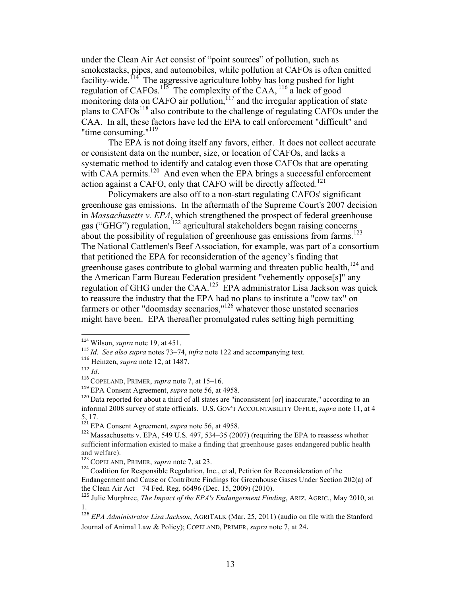under the Clean Air Act consist of "point sources" of pollution, such as smokestacks, pipes, and automobiles, while pollution at CAFOs is often emitted facility-wide.<sup>114</sup> The aggressive agriculture lobby has long pushed for light regulation of CAFOs.<sup>115</sup> The complexity of the CAA,  $116$  a lack of good monitoring data on CAFO air pollution, $117$  and the irregular application of state plans to  $CAFOs<sup>118</sup>$  also contribute to the challenge of regulating CAFOs under the CAA. In all, these factors have led the EPA to call enforcement "difficult" and "time consuming."<sup>119</sup>

The EPA is not doing itself any favors, either. It does not collect accurate or consistent data on the number, size, or location of CAFOs, and lacks a systematic method to identify and catalog even those CAFOs that are operating with CAA permits.<sup>120</sup> And even when the EPA brings a successful enforcement action against a CAFO, only that CAFO will be directly affected.<sup>121</sup>

Policymakers are also off to a non-start regulating CAFOs' significant greenhouse gas emissions. In the aftermath of the Supreme Court's 2007 decision in *Massachusetts v. EPA*, which strengthened the prospect of federal greenhouse gas ("GHG") regulation, <sup>122</sup> agricultural stakeholders began raising concerns about the possibility of regulation of greenhouse gas emissions from farms.<sup>123</sup> The National Cattlemen's Beef Association, for example, was part of a consortium that petitioned the EPA for reconsideration of the agency's finding that greenhouse gases contribute to global warming and threaten public health,<sup>124</sup> and the American Farm Bureau Federation president "vehemently oppose[s]" any regulation of GHG under the CAA.125 EPA administrator Lisa Jackson was quick to reassure the industry that the EPA had no plans to institute a "cow tax" on farmers or other "doomsday scenarios,"<sup>126</sup> whatever those unstated scenarios might have been. EPA thereafter promulgated rules setting high permitting

<sup>!!!!!!!!!!!!!!!!!!!!!!!!!!!!!!!!!!!!!!!!!!!!!!!!!!!!!!!!!!!!</sup> <sup>114</sup> Wilson, *supra* note 19, at 451.

<sup>115</sup> *Id*. *See also supra* notes 73–74, *infra* note 122 and accompanying text.

<sup>116</sup> Heinzen, *supra* note 12, at 1487.

<sup>117</sup> *Id*.

<sup>118</sup> COPELAND, PRIMER, *supra* note 7, at 15–16.

<sup>119</sup> EPA Consent Agreement, *supra* note 56, at 4958.

 $120$  Data reported for about a third of all states are "inconsistent [or] inaccurate." according to an informal 2008 survey of state officials. U.S. GOV'T ACCOUNTABILITY OFFICE, *supra* note 11, at 4– 5, 17.

<sup>&</sup>lt;sup>121</sup> EPA Consent Agreement, *supra* note 56, at 4958.

<sup>&</sup>lt;sup>122</sup> Massachusetts v. EPA, 549 U.S. 497, 534–35 (2007) (requiring the EPA to reassess whether sufficient information existed to make a finding that greenhouse gases endangered public health and welfare).

<sup>123</sup> COPELAND, PRIMER, *supra* note 7, at 23.

<sup>&</sup>lt;sup>124</sup> Coalition for Responsible Regulation, Inc., et al, Petition for Reconsideration of the Endangerment and Cause or Contribute Findings for Greenhouse Gases Under Section 202(a) of the Clean Air Act – 74 Fed. Reg. 66496 (Dec. 15, 2009) (2010).

<sup>125</sup> Julie Murphree, *The Impact of the EPA's Endangerment Finding*, ARIZ. AGRIC., May 2010, at 1.

<sup>126</sup> *EPA Administrator Lisa Jackson*, AGRITALK (Mar. 25, 2011) (audio on file with the Stanford Journal of Animal Law & Policy); COPELAND, PRIMER, *supra* note 7, at 24.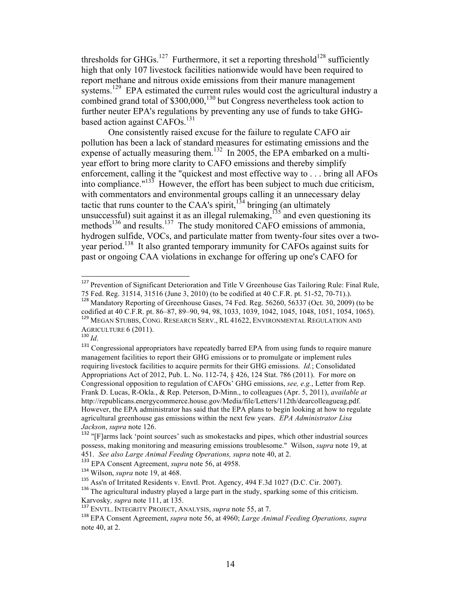thresholds for GHGs.<sup>127</sup> Furthermore, it set a reporting threshold<sup>128</sup> sufficiently high that only 107 livestock facilities nationwide would have been required to report methane and nitrous oxide emissions from their manure management systems.<sup>129</sup> EPA estimated the current rules would cost the agricultural industry a combined grand total of  $$300,000$ ,  $^{130}$  but Congress nevertheless took action to further neuter EPA's regulations by preventing any use of funds to take GHGbased action against CAFOs.<sup>131</sup>

One consistently raised excuse for the failure to regulate CAFO air pollution has been a lack of standard measures for estimating emissions and the expense of actually measuring them.<sup>132</sup> In 2005, the EPA embarked on a multiyear effort to bring more clarity to CAFO emissions and thereby simplify enforcement, calling it the "quickest and most effective way to . . . bring all AFOs into compliance." $133$  However, the effort has been subject to much due criticism, with commentators and environmental groups calling it an unnecessary delay tactic that runs counter to the CAA's spirit,  $134$  bringing (an ultimately unsuccessful) suit against it as an illegal rulemaking,<sup>135</sup> and even questioning its methods<sup>136</sup> and results.<sup>137</sup> The study monitored CAFO emissions of ammonia, hydrogen sulfide, VOCs, and particulate matter from twenty-four sites over a twoyear period.<sup>138</sup> It also granted temporary immunity for CAFOs against suits for past or ongoing CAA violations in exchange for offering up one's CAFO for

<sup>&</sup>lt;sup>127</sup> Prevention of Significant Deterioration and Title V Greenhouse Gas Tailoring Rule: Final Rule, 75 Fed. Reg. 31514, 31516 (June 3, 2010) (to be codified at 40 C.F.R. pt. 51-52, 70-71).).

<sup>128</sup> Mandatory Reporting of Greenhouse Gases, 74 Fed. Reg. 56260, 56337 (Oct. 30, 2009) (to be codified at 40 C.F.R. pt. 86–87, 89–90, 94, 98, 1033, 1039, 1042, 1045, 1048, 1051, 1054, 1065). <sup>129</sup> MEGAN STUBBS, CONG. RESEARCH SERV., RL 41622, ENVIRONMENTAL REGULATION AND

AGRICULTURE 6 (2011). <sup>130</sup> *Id*.

<sup>&</sup>lt;sup>131</sup> Congressional appropriators have repeatedly barred EPA from using funds to require manure management facilities to report their GHG emissions or to promulgate or implement rules requiring livestock facilities to acquire permits for their GHG emissions. *Id.*; Consolidated Appropriations Act of 2012, Pub. L. No. 112-74, § 426, 124 Stat. 786 (2011). For more on Congressional opposition to regulation of CAFOs' GHG emissions, *see, e.g.*, Letter from Rep. Frank D. Lucas, R-Okla., & Rep. Peterson, D-Minn., to colleagues (Apr. 5, 2011), *available at* http://republicans.energycommerce.house.gov/Media/file/Letters/112th/dearcolleagueag.pdf. However, the EPA administrator has said that the EPA plans to begin looking at how to regulate agricultural greenhouse gas emissions within the next few years. *EPA Administrator Lisa Jackson*, *supra* note 126.

<sup>&</sup>lt;sup>132</sup> "[F]arms lack 'point sources' such as smokestacks and pipes, which other industrial sources possess, making monitoring and measuring emissions troublesome." Wilson, *supra* note 19, at 451. *See also Large Animal Feeding Operations, supra* note 40, at 2.

<sup>133</sup> EPA Consent Agreement, *supra* note 56, at 4958.

<sup>134</sup> Wilson, *supra* note 19, at 468.

<sup>135</sup> Ass'n of Irritated Residents v. Envtl. Prot. Agency, 494 F.3d 1027 (D.C. Cir. 2007).

<sup>&</sup>lt;sup>136</sup> The agricultural industry played a large part in the study, sparking some of this criticism. Karvosky, *supra* note 111, at 135.<br><sup>137</sup> ENVTL. INTEGRITY PROJECT, ANALYSIS, *supra* note 55, at 7.

<sup>138</sup> EPA Consent Agreement, *supra* note 56, at 4960; *Large Animal Feeding Operations, supra* note 40, at 2.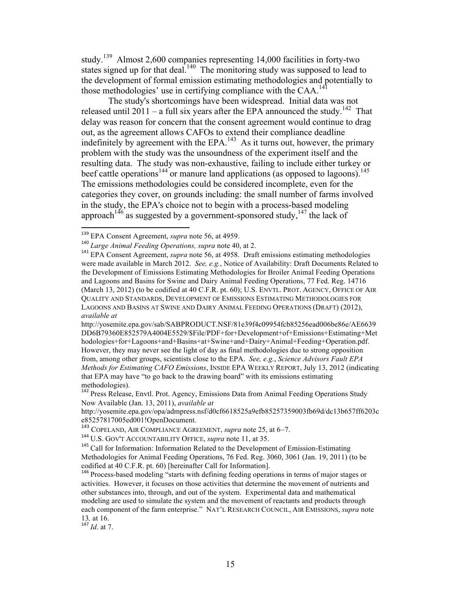study.<sup>139</sup> Almost 2,600 companies representing 14,000 facilities in forty-two states signed up for that deal.<sup>140</sup> The monitoring study was supposed to lead to the development of formal emission estimating methodologies and potentially to those methodologies' use in certifying compliance with the  $CAA$ <sup>14</sup>

The study's shortcomings have been widespread. Initial data was not released until 2011 – a full six years after the EPA announced the study.<sup>142</sup> That delay was reason for concern that the consent agreement would continue to drag out, as the agreement allows CAFOs to extend their compliance deadline indefinitely by agreement with the EPA.<sup>143</sup> As it turns out, however, the primary problem with the study was the unsoundness of the experiment itself and the resulting data. The study was non-exhaustive, failing to include either turkey or beef cattle operations<sup>144</sup> or manure land applications (as opposed to lagoons).<sup>145</sup> The emissions methodologies could be considered incomplete, even for the categories they cover, on grounds including: the small number of farms involved in the study, the EPA's choice not to begin with a process-based modeling approach<sup>146</sup> as suggested by a government-sponsored study, <sup>147</sup> the lack of

<sup>139</sup> EPA Consent Agreement, *supra* note 56, at 4959.

<sup>140</sup> *Large Animal Feeding Operations, supra* note 40, at 2.

<sup>&</sup>lt;sup>141</sup> EPA Consent Agreement, *supra* note 56, at 4958. Draft emissions estimating methodologies were made available in March 2012. *See, e.g.*, Notice of Availability: Draft Documents Related to the Development of Emissions Estimating Methodologies for Broiler Animal Feeding Operations and Lagoons and Basins for Swine and Dairy Animal Feeding Operations, 77 Fed. Reg. 14716 (March 13, 2012) (to be codified at 40 C.F.R. pt. 60); U.S. ENVTL. PROT. AGENCY, OFFICE OF AIR QUALITY AND STANDARDS, DEVELOPMENT OF EMISSIONS ESTIMATING METHODOLOGIES FOR LAGOONS AND BASINS AT SWINE AND DAIRY ANIMAL FEEDING OPERATIONS (DRAFT) (2012), *available at*

http://yosemite.epa.gov/sab/SABPRODUCT.NSF/81e39f4c09954fcb85256ead006be86e/AE6639 DD6B79360E852579A4004E5529/\$File/PDF+for+Development+of+Emissions+Estimating+Met hodologies+for+Lagoons+and+Basins+at+Swine+and+Dairy+Animal+Feeding+Operation.pdf. However, they may never see the light of day as final methodologies due to strong opposition from, among other groups, scientists close to the EPA. *See, e.g.*, *Science Advisors Fault EPA Methods for Estimating CAFO Emissions*, INSIDE EPA WEEKLY REPORT, July 13, 2012 (indicating that EPA may have "to go back to the drawing board" with its emissions estimating methodologies).

<sup>&</sup>lt;sup>142</sup> Press Release, Envtl. Prot. Agency, Emissions Data from Animal Feeding Operations Study Now Available (Jan. 13, 2011), *available at*

http://yosemite.epa.gov/opa/admpress.nsf/d0cf6618525a9efb85257359003fb69d/dc13b657ff6203c e85257817005ed001!OpenDocument.

<sup>143</sup> COPELAND, AIR COMPLIANCE AGREEMENT, *supra* note 25, at 6–7.

<sup>144</sup> U.S. GOV'T ACCOUNTABILITY OFFICE, *supra* note 11, at 35.

<sup>&</sup>lt;sup>145</sup> Call for Information: Information Related to the Development of Emission-Estimating Methodologies for Animal Feeding Operations, 76 Fed. Reg. 3060, 3061 (Jan. 19, 2011) (to be codified at 40 C.F.R. pt. 60) [hereinafter Call for Information].

<sup>&</sup>lt;sup>146</sup> Process-based modeling "starts with defining feeding operations in terms of major stages or activities. However, it focuses on those activities that determine the movement of nutrients and other substances into, through, and out of the system. Experimental data and mathematical modeling are used to simulate the system and the movement of reactants and products through each component of the farm enterprise." NAT'L RESEARCH COUNCIL, AIR EMISSIONS, *supra* note <sup>13</sup>*,* at 16. <sup>147</sup> *Id*. at 7.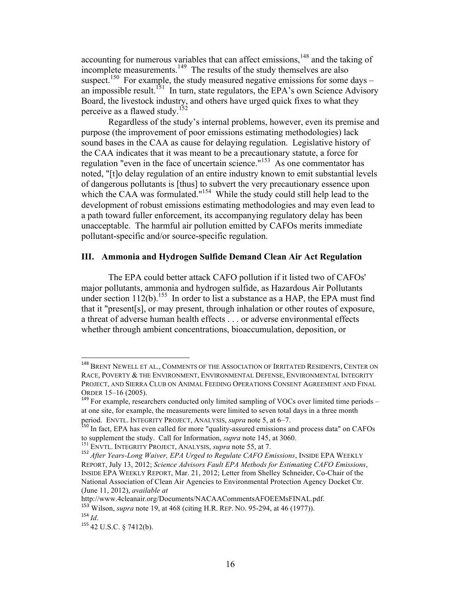accounting for numerous variables that can affect emissions,<sup>148</sup> and the taking of incomplete measurements.<sup>149</sup> The results of the study themselves are also suspect.<sup>150</sup> For example, the study measured negative emissions for some days – an impossible result.<sup>151</sup> In turn, state regulators, the EPA's own Science Advisory Board, the livestock industry, and others have urged quick fixes to what they perceive as a flawed study.<sup>152</sup>

Regardless of the study's internal problems, however, even its premise and purpose (the improvement of poor emissions estimating methodologies) lack sound bases in the CAA as cause for delaying regulation. Legislative history of the CAA indicates that it was meant to be a precautionary statute, a force for regulation "even in the face of uncertain science."<sup>153</sup> As one commentator has noted, "[t]o delay regulation of an entire industry known to emit substantial levels of dangerous pollutants is [thus] to subvert the very precautionary essence upon which the CAA was formulated."<sup>154</sup> While the study could still help lead to the development of robust emissions estimating methodologies and may even lead to a path toward fuller enforcement, its accompanying regulatory delay has been unacceptable. The harmful air pollution emitted by CAFOs merits immediate pollutant-specific and/or source-specific regulation.

### **III. Ammonia and Hydrogen Sulfide Demand Clean Air Act Regulation**

The EPA could better attack CAFO pollution if it listed two of CAFOs' major pollutants, ammonia and hydrogen sulfide, as Hazardous Air Pollutants under section  $112(b)$ .<sup>155</sup> In order to list a substance as a HAP, the EPA must find that it "present[s], or may present, through inhalation or other routes of exposure, a threat of adverse human health effects . . . or adverse environmental effects whether through ambient concentrations, bioaccumulation, deposition, or

<sup>&</sup>lt;sup>148</sup> BRENT NEWELL ET AL., COMMENTS OF THE ASSOCIATION OF IRRITATED RESIDENTS, CENTER ON RACE, POVERTY & THE ENVIRONMENT, ENVIRONMENTAL DEFENSE, ENVIRONMENTAL INTEGRITY PROJECT, AND SIERRA CLUB ON ANIMAL FEEDING OPERATIONS CONSENT AGREEMENT AND FINAL ORDER 15–16 (2005).<br><sup>149</sup> For example, researchers conducted only limited sampling of VOCs over limited time periods –

at one site, for example, the measurements were limited to seven total days in a three month period. ENVTL. INTEGRITY PROJECT, ANALYSIS, *supra* note 5, at 6–7.<br><sup>150</sup> In fact, EPA has even called for more "quality-assured emissions and process data" on CAFOs

to supplement the study. Call for Information, *supra* note 145, at 3060.<br><sup>151</sup> ENVTL. INTEGRITY PROJECT, ANALYSIS, *supra* note 55, at 7.<br><sup>152</sup> After Years-Long Waiver, EPA Urged to Regulate CAFO Emissions, INSIDE EPA WEE

REPORT, July 13, 2012; *Science Advisors Fault EPA Methods for Estimating CAFO Emissions*, INSIDE EPA WEEKLY REPORT, Mar. 21, 2012; Letter from Shelley Schneider, Co-Chair of the National Association of Clean Air Agencies to Environmental Protection Agency Docket Ctr. (June 11, 2012), *available at*

http://www.4cleanair.org/Documents/NACAACommentsAFOEEMsFINAL.pdf.

<sup>153</sup> Wilson, *supra* note 19, at 468 (citing H.R. REP. NO. 95-294, at 46 (1977)). <sup>154</sup> *Id*.

<sup>155</sup> 42 U.S.C. § 7412(b).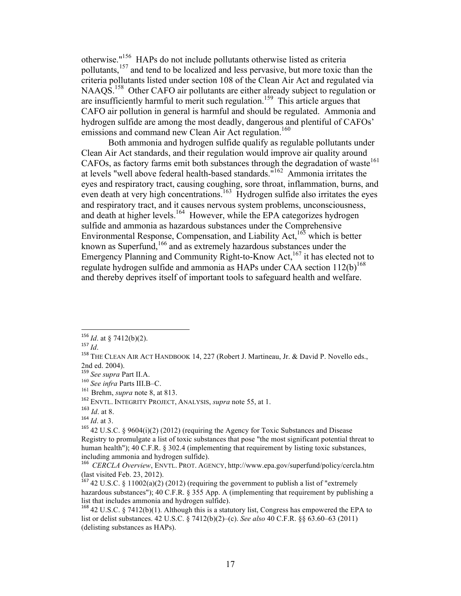otherwise."156 HAPs do not include pollutants otherwise listed as criteria pollutants,<sup>157</sup> and tend to be localized and less pervasive, but more toxic than the criteria pollutants listed under section 108 of the Clean Air Act and regulated via NAAQS.<sup>158</sup> Other CAFO air pollutants are either already subject to regulation or are insufficiently harmful to merit such regulation.<sup>159</sup> This article argues that CAFO air pollution in general is harmful and should be regulated. Ammonia and hydrogen sulfide are among the most deadly, dangerous and plentiful of CAFOs' emissions and command new Clean Air Act regulation.<sup>160</sup>

Both ammonia and hydrogen sulfide qualify as regulable pollutants under Clean Air Act standards, and their regulation would improve air quality around CAFOs, as factory farms emit both substances through the degradation of waste<sup>161</sup> at levels "well above federal health-based standards."162 Ammonia irritates the eyes and respiratory tract, causing coughing, sore throat, inflammation, burns, and even death at very high concentrations.<sup>163</sup> Hydrogen sulfide also irritates the eyes and respiratory tract, and it causes nervous system problems, unconsciousness, and death at higher levels.<sup>164</sup> However, while the EPA categorizes hydrogen sulfide and ammonia as hazardous substances under the Comprehensive Environmental Response, Compensation, and Liability Act,  $^{165}$  which is better known as Superfund,<sup>166</sup> and as extremely hazardous substances under the Emergency Planning and Community Right-to-Know Act,<sup>167</sup> it has elected not to regulate hydrogen sulfide and ammonia as HAPs under CAA section  $112(b)^{168}$ and thereby deprives itself of important tools to safeguard health and welfare.

 $156$  *Id.* at § 7412(b)(2).

<sup>14.</sup> at §  $/412(0)(2)$ .<br>
<sup>157</sup> *Id*.<br>
<sup>158</sup> THE CLEAN AIR ACT HANDBOOK 14, 227 (Robert J. Martineau, Jr. & David P. Novello eds., 2nd ed. 2004).

<sup>159</sup> *See supra* Part II.A.

<sup>&</sup>lt;sup>160</sup> *See infra* Parts III.B–C.<br><sup>161</sup> Brehm, *supra* note 8, at 813.

<sup>&</sup>lt;sup>162</sup> ENVTL. **INTEGRITY PROJECT, ANALYSIS**, *supra* note 55, at 1.

<sup>163</sup> *Id*. at 8.

<sup>164</sup> *Id*. at 3.

<sup>&</sup>lt;sup>165</sup> 42 U.S.C. § 9604(i)(2) (2012) (requiring the Agency for Toxic Substances and Disease Registry to promulgate a list of toxic substances that pose "the most significant potential threat to human health"); 40 C.F.R. § 302.4 (implementing that requirement by listing toxic substances, including ammonia and hydrogen sulfide).

<sup>&</sup>lt;sup>166</sup> CERCLA Overview, ENVTL. PROT. AGENCY, http://www.epa.gov/superfund/policy/cercla.htm (last visited Feb. 23, 2012).

 $167$  42 U.S.C. § 11002(a)(2) (2012) (requiring the government to publish a list of "extremely hazardous substances"); 40 C.F.R. § 355 App. A (implementing that requirement by publishing a list that includes ammonia and hydrogen sulfide).

<sup>168</sup> 42 U.S.C. § 7412(b)(1). Although this is a statutory list, Congress has empowered the EPA to list or delist substances. 42 U.S.C. § 7412(b)(2)–(c). *See also* 40 C.F.R. §§ 63.60–63 (2011) (delisting substances as HAPs).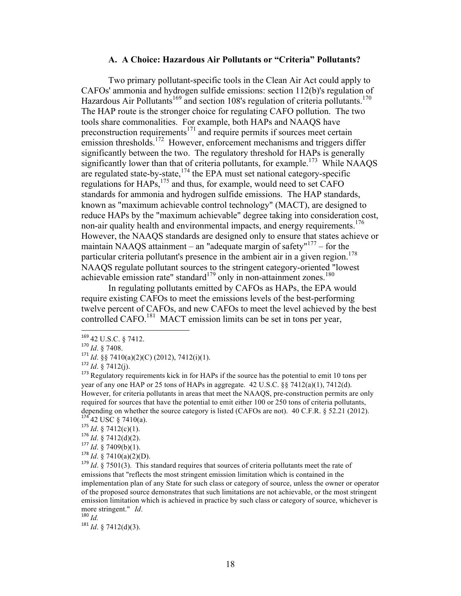#### **A. A Choice: Hazardous Air Pollutants or "Criteria" Pollutants?**

Two primary pollutant-specific tools in the Clean Air Act could apply to CAFOs' ammonia and hydrogen sulfide emissions: section 112(b)'s regulation of Hazardous Air Pollutants<sup>169</sup> and section 108's regulation of criteria pollutants.<sup>170</sup> The HAP route is the stronger choice for regulating CAFO pollution. The two tools share commonalities. For example, both HAPs and NAAQS have preconstruction requirements<sup>171</sup> and require permits if sources meet certain emission thresholds.<sup>172</sup> However, enforcement mechanisms and triggers differ significantly between the two. The regulatory threshold for HAPs is generally significantly lower than that of criteria pollutants, for example.<sup>173</sup> While NAAQS are regulated state-by-state,  $174$  the EPA must set national category-specific regulations for HAPs,<sup>175</sup> and thus, for example, would need to set CAFO standards for ammonia and hydrogen sulfide emissions. The HAP standards, known as "maximum achievable control technology" (MACT), are designed to reduce HAPs by the "maximum achievable" degree taking into consideration cost, non-air quality health and environmental impacts, and energy requirements.<sup>176</sup> However, the NAAQS standards are designed only to ensure that states achieve or maintain NAAQS attainment – an "adequate margin of safety"<sup>177</sup> – for the particular criteria pollutant's presence in the ambient air in a given region.<sup>178</sup> NAAQS regulate pollutant sources to the stringent category-oriented "lowest achievable emission rate" standard $179$  only in non-attainment zones. $180$ 

In regulating pollutants emitted by CAFOs as HAPs, the EPA would require existing CAFOs to meet the emissions levels of the best-performing twelve percent of CAFOs, and new CAFOs to meet the level achieved by the best controlled CAFO.<sup>181</sup> MACT emission limits can be set in tons per year,

<sup>169</sup> 42 U.S.C. § 7412. <sup>170</sup> *Id*. § 7408.

<sup>170</sup> *Id.* § 7408.<br><sup>171</sup> *Id.* §§ 7408.<br><sup>171</sup> *Id.* §§ 7410(a)(2)(C) (2012), 7412(i)(1).

<sup>172</sup> *Id*. § 7412(j).

<sup>&</sup>lt;sup>173</sup> Regulatory requirements kick in for HAPs if the source has the potential to emit 10 tons per year of any one HAP or 25 tons of HAPs in aggregate. 42 U.S.C. §§ 7412(a)(1), 7412(d). However, for criteria pollutants in areas that meet the NAAQS, pre-construction permits are only required for sources that have the potential to emit either 100 or 250 tons of criteria pollutants, depending on whether the source category is listed (CAFOs are not). 40 C.F.R. § 52.21 (2012). <sup>174</sup> 42 USC § 7410(a). <sup>175</sup> *Id*. § 7412(c)(1).

 $176$  *Id.* § 7412(d)(2).

 $177$  *Id.* § 7409(b)(1).

 $178$  *Id.* § 7410(a)(2)(D).

<sup>&</sup>lt;sup>179</sup> *Id.* § 7501(3). This standard requires that sources of criteria pollutants meet the rate of emissions that "reflects the most stringent emission limitation which is contained in the implementation plan of any State for such class or category of source, unless the owner or operator of the proposed source demonstrates that such limitations are not achievable, or the most stringent emission limitation which is achieved in practice by such class or category of source, whichever is more stringent." *Id*. <sup>180</sup> *Id.*

<sup>181</sup> *Id*. § 7412(d)(3).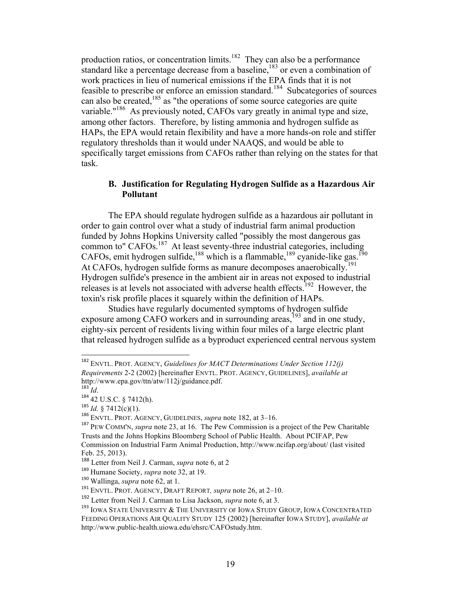production ratios, or concentration limits.<sup>182</sup> They can also be a performance standard like a percentage decrease from a baseline, $183$  or even a combination of work practices in lieu of numerical emissions if the EPA finds that it is not feasible to prescribe or enforce an emission standard.<sup>184</sup> Subcategories of sources can also be created,<sup>185</sup> as "the operations of some source categories are quite variable."<sup>186</sup> As previously noted, CAFOs vary greatly in animal type and size, among other factors. Therefore, by listing ammonia and hydrogen sulfide as HAPs, the EPA would retain flexibility and have a more hands-on role and stiffer regulatory thresholds than it would under NAAQS, and would be able to specifically target emissions from CAFOs rather than relying on the states for that task.

### **B. Justification for Regulating Hydrogen Sulfide as a Hazardous Air Pollutant**

The EPA should regulate hydrogen sulfide as a hazardous air pollutant in order to gain control over what a study of industrial farm animal production funded by Johns Hopkins University called "possibly the most dangerous gas common to" CAFOs.<sup>187</sup> At least seventy-three industrial categories, including CAFOs, emit hydrogen sulfide, <sup>188</sup> which is a flammable, <sup>189</sup> cyanide-like gas.<sup>190</sup> At CAFOs, hydrogen sulfide forms as manure decomposes anaerobically.<sup>191</sup> Hydrogen sulfide's presence in the ambient air in areas not exposed to industrial releases is at levels not associated with adverse health effects.<sup>192</sup> However, the toxin's risk profile places it squarely within the definition of HAPs.

Studies have regularly documented symptoms of hydrogen sulfide exposure among CAFO workers and in surrounding areas,<sup>193</sup> and in one study, eighty-six percent of residents living within four miles of a large electric plant that released hydrogen sulfide as a byproduct experienced central nervous system

<sup>182</sup> ENVTL. PROT. AGENCY, *Guidelines for MACT Determinations Under Section 112(j) Requirements* 2-2 (2002) [hereinafter ENVTL. PROT. AGENCY, GUIDELINES], *available at* http://www.epa.gov/ttn/atw/112j/guidance.pdf. <sup>183</sup> *Id*.

 $^{184}$  42 U.S.C. § 7412(h).<br><sup>185</sup> Id. § 7412(c)(1).

<sup>185</sup> *Id.* § 7412(c)(1). <sup>186</sup> ENVTL. PROT. AGENCY, GUIDELINES, *supra* note 182, at 3–16.

<sup>187</sup> PEW COMM'N, *supra* note 23, at 16. The Pew Commission is a project of the Pew Charitable Trusts and the Johns Hopkins Bloomberg School of Public Health. About PCIFAP, Pew Commission on Industrial Farm Animal Production, http://www.ncifap.org/about/ (last visited Feb. 25, 2013).

<sup>188</sup> Letter from Neil J. Carman, *supra* note 6, at 2

<sup>189</sup> Humane Society, *supra* note 32, at 19.

<sup>190</sup> Wallinga, *supra* note 62, at 1.

<sup>191</sup> ENVTL. PROT. AGENCY, DRAFT REPORT*, supra* note 26, at 2–10.

<sup>192</sup> Letter from Neil J. Carman to Lisa Jackson, *supra* note 6, at 3.

 $^{193}$  IOWA STATE UNIVERSITY & THE UNIVERSITY OF IOWA STUDY GROUP, IOWA CONCENTRATED FEEDING OPERATIONS AIR QUALITY STUDY 125 (2002) [hereinafter IOWA STUDY], *available at* http://www.public-health.uiowa.edu/ehsrc/CAFOstudy.htm.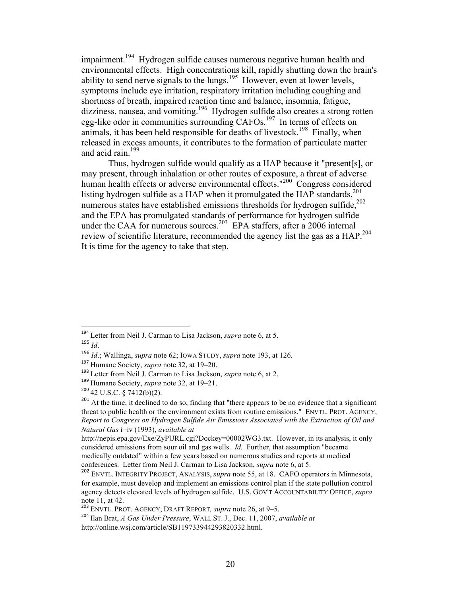impairment.<sup>194</sup> Hydrogen sulfide causes numerous negative human health and environmental effects. High concentrations kill, rapidly shutting down the brain's ability to send nerve signals to the lungs.<sup>195</sup> However, even at lower levels, symptoms include eye irritation, respiratory irritation including coughing and shortness of breath, impaired reaction time and balance, insomnia, fatigue, dizziness, nausea, and vomiting.<sup>196</sup> Hydrogen sulfide also creates a strong rotten egg-like odor in communities surrounding CAFOs.<sup>197</sup> In terms of effects on animals, it has been held responsible for deaths of livestock.<sup>198</sup> Finally, when released in excess amounts, it contributes to the formation of particulate matter and acid rain. $199$ 

Thus, hydrogen sulfide would qualify as a HAP because it "present[s], or may present, through inhalation or other routes of exposure, a threat of adverse human health effects or adverse environmental effects."<sup>200</sup> Congress considered listing hydrogen sulfide as a HAP when it promulgated the HAP standards,<sup>201</sup> numerous states have established emissions thresholds for hydrogen sulfide,  $202$ and the EPA has promulgated standards of performance for hydrogen sulfide under the CAA for numerous sources.<sup>203</sup> EPA staffers, after a 2006 internal review of scientific literature, recommended the agency list the gas as a HAP.<sup>204</sup> It is time for the agency to take that step.

!!!!!!!!!!!!!!!!!!!!!!!!!!!!!!!!!!!!!!!!!!!!!!!!!!!!!!!!!!!!

<sup>199</sup> Humane Society, *supra* note 32, at 19–21.

<sup>194</sup> Letter from Neil J. Carman to Lisa Jackson, *supra* note 6, at 5. <sup>195</sup> *Id*.

<sup>196</sup> *Id*.; Wallinga, *supra* note 62; IOWA STUDY, *supra* note 193, at 126.

<sup>197</sup> Humane Society, *supra* note 32, at 19–20.

<sup>198</sup> Letter from Neil J. Carman to Lisa Jackson, *supra* note 6, at 2.

 $200$  42 U.S.C. § 7412(b)(2).

 $201$  At the time, it declined to do so, finding that "there appears to be no evidence that a significant threat to public health or the environment exists from routine emissions." ENVTL. PROT. AGENCY, *Report to Congress on Hydrogen Sulfide Air Emissions Associated with the Extraction of Oil and Natural Gas* i–iv (1993), *available at*

http://nepis.epa.gov/Exe/ZyPURL.cgi?Dockey=00002WG3.txt. However, in its analysis, it only considered emissions from sour oil and gas wells. *Id.* Further, that assumption "became medically outdated" within a few years based on numerous studies and reports at medical conferences. Letter from Neil J. Carman to Lisa Jackson, *supra* note 6, at 5.

<sup>202</sup> ENVTL. INTEGRITY PROJECT, ANALYSIS, *supra* note 55, at 18. CAFO operators in Minnesota, for example, must develop and implement an emissions control plan if the state pollution control agency detects elevated levels of hydrogen sulfide. U.S. GOV'T ACCOUNTABILITY OFFICE, *supra* note 11, at 42.

<sup>203</sup> ENVTL. PROT. AGENCY, DRAFT REPORT*, supra* note 26, at 9–5.

<sup>204</sup> Ilan Brat, *A Gas Under Pressure*, WALL ST. J., Dec. 11, 2007, *available at* http://online.wsj.com/article/SB119733944293820332.html.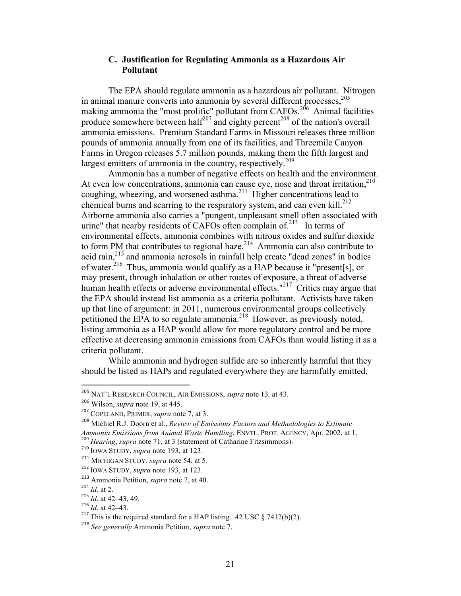### **C. Justification for Regulating Ammonia as a Hazardous Air Pollutant**

The EPA should regulate ammonia as a hazardous air pollutant. Nitrogen in animal manure converts into ammonia by several different processes,<sup>205</sup> making ammonia the "most prolific" pollutant from CAFOs.<sup>206</sup> Animal facilities produce somewhere between half<sup>207</sup> and eighty percent<sup>208</sup> of the nation's overall ammonia emissions. Premium Standard Farms in Missouri releases three million pounds of ammonia annually from one of its facilities, and Threemile Canyon Farms in Oregon releases 5.7 million pounds, making them the fifth largest and largest emitters of ammonia in the country, respectively.<sup>209</sup>

Ammonia has a number of negative effects on health and the environment. At even low concentrations, ammonia can cause eye, nose and throat irritation, $210$ coughing, wheezing, and worsened asthma.<sup>211</sup> Higher concentrations lead to chemical burns and scarring to the respiratory system, and can even kill.<sup>212</sup> Airborne ammonia also carries a "pungent, unpleasant smell often associated with urine" that nearby residents of CAFOs often complain of.<sup>213</sup> In terms of environmental effects, ammonia combines with nitrous oxides and sulfur dioxide to form PM that contributes to regional haze. $^{214}$  Ammonia can also contribute to acid rain,215 and ammonia aerosols in rainfall help create "dead zones" in bodies of water.<sup>216</sup> Thus, ammonia would qualify as a HAP because it "present[s], or may present, through inhalation or other routes of exposure, a threat of adverse human health effects or adverse environmental effects."<sup>217</sup> Critics may argue that the EPA should instead list ammonia as a criteria pollutant. Activists have taken up that line of argument: in 2011, numerous environmental groups collectively petitioned the EPA to so regulate ammonia.<sup>218</sup> However, as previously noted, listing ammonia as a HAP would allow for more regulatory control and be more effective at decreasing ammonia emissions from CAFOs than would listing it as a criteria pollutant.

While ammonia and hydrogen sulfide are so inherently harmful that they should be listed as HAPs and regulated everywhere they are harmfully emitted,

<sup>205</sup> NAT'L RESEARCH COUNCIL, AIR EMISSIONS, *supra* note 13*,* at 43.

<sup>206</sup> Wilson, *supra* note 19, at 445.

<sup>207</sup> COPELAND, PRIMER, *supra* note 7, at 3.

<sup>208</sup> Michiel R.J. Doorn et al., *Review of Emissions Factors and Methodologies to Estimate Ammonia Emissions from Animal Waste Handling*, ENVTL. PROT. AGENCY, Apr. 2002, at 1. <sup>209</sup> *Hearing*, *supra* note 71, at 3 (statement of Catharine Fitzsimmons).

<sup>210</sup> IOWA STUDY, *supra* note 193, at 123.

<sup>211</sup> MICHIGAN STUDY*, supra* note 54, at 5*.*

<sup>212</sup> IOWA STUDY, *supra* note 193, at 123.

<sup>213</sup> Ammonia Petition, *supra* note 7, at 40.

<sup>214</sup> *Id*. at 2.

<sup>215</sup> *Id*. at 42–43, 49. <sup>216</sup> *Id*. at 42–43.

<sup>&</sup>lt;sup>217</sup> This is the required standard for a HAP listing. 42 USC  $\frac{\delta}{4}$  7412(b)(2).

<sup>218</sup> *See generally* Ammonia Petition, *supra* note 7.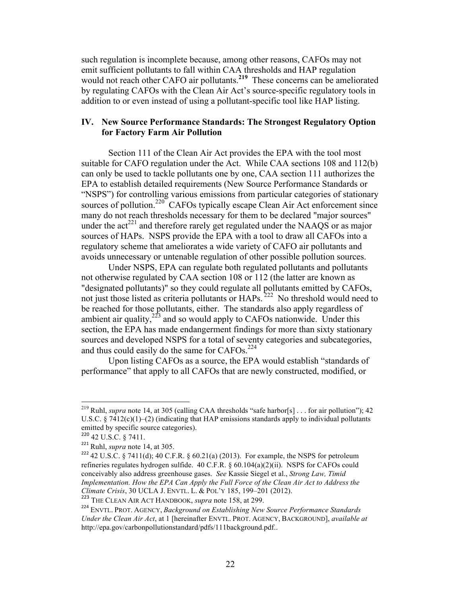such regulation is incomplete because, among other reasons, CAFOs may not emit sufficient pollutants to fall within CAA thresholds and HAP regulation would not reach other CAFO air pollutants. **<sup>219</sup>** These concerns can be ameliorated by regulating CAFOs with the Clean Air Act's source-specific regulatory tools in addition to or even instead of using a pollutant-specific tool like HAP listing.

### **IV. New Source Performance Standards: The Strongest Regulatory Option for Factory Farm Air Pollution**

Section 111 of the Clean Air Act provides the EPA with the tool most suitable for CAFO regulation under the Act. While CAA sections 108 and 112(b) can only be used to tackle pollutants one by one, CAA section 111 authorizes the EPA to establish detailed requirements (New Source Performance Standards or "NSPS") for controlling various emissions from particular categories of stationary sources of pollution.<sup>220</sup> CAFOs typically escape Clean Air Act enforcement since many do not reach thresholds necessary for them to be declared "major sources" under the  $\arctan{221}$  and therefore rarely get regulated under the NAAQS or as major sources of HAPs. NSPS provide the EPA with a tool to draw all CAFOs into a regulatory scheme that ameliorates a wide variety of CAFO air pollutants and avoids unnecessary or untenable regulation of other possible pollution sources.

Under NSPS, EPA can regulate both regulated pollutants and pollutants not otherwise regulated by CAA section 108 or 112 (the latter are known as "designated pollutants)" so they could regulate all pollutants emitted by CAFOs, not just those listed as criteria pollutants or HAPs.<sup>222</sup> No threshold would need to be reached for those pollutants, either. The standards also apply regardless of ambient air quality, $2^{23}$  and so would apply to CAFOs nationwide. Under this section, the EPA has made endangerment findings for more than sixty stationary sources and developed NSPS for a total of seventy categories and subcategories, and thus could easily do the same for CAFOs.<sup>224</sup>

Upon listing CAFOs as a source, the EPA would establish "standards of performance" that apply to all CAFOs that are newly constructed, modified, or

Ruhl, *supra* note 14, at 305 (calling CAA thresholds "safe harbor[s] . . . for air pollution"); 42 U.S.C.  $\S$  7412(c)(1)–(2) (indicating that HAP emissions standards apply to individual pollutants emitted by specific source categories).

<sup>220</sup> 42 U.S.C. § 7411.

<sup>221</sup> Ruhl, *supra* note 14, at 305.

<sup>&</sup>lt;sup>222</sup> 42 U.S.C. § 7411(d); 40 C.F.R. § 60.21(a) (2013). For example, the NSPS for petroleum refineries regulates hydrogen sulfide. 40 C.F.R. § 60.104(a)(2)(ii). NSPS for CAFOs could conceivably also address greenhouse gases. *See* Kassie Siegel et al., *Strong Law, Timid Implementation. How the EPA Can Apply the Full Force of the Clean Air Act to Address the Climate Crisis*, 30 UCLA J. ENVTL. L. & POL'Y 185, 199–201 (2012).

<sup>223</sup> THE CLEAN AIR ACT HANDBOOK, *supra* note 158, at 299.

<sup>224</sup> ENVTL. PROT. AGENCY, *Background on Establishing New Source Performance Standards Under the Clean Air Act*, at 1 [hereinafter ENVTL. PROT. AGENCY, BACKGROUND], *available at* http://epa.gov/carbonpollutionstandard/pdfs/111background.pdf..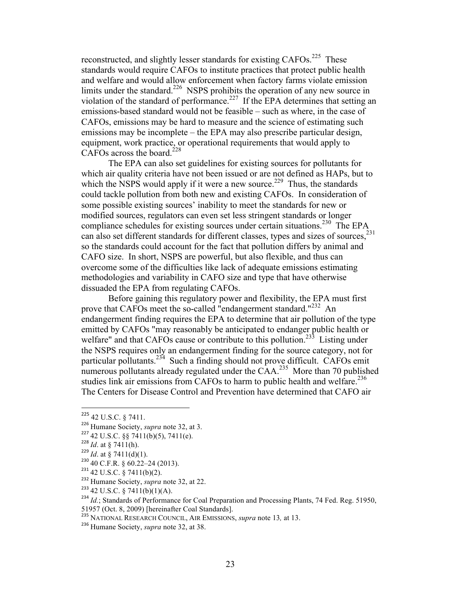reconstructed, and slightly lesser standards for existing CAFOs.<sup>225</sup> These standards would require CAFOs to institute practices that protect public health and welfare and would allow enforcement when factory farms violate emission limits under the standard.<sup>226</sup> NSPS prohibits the operation of any new source in violation of the standard of performance.<sup>227</sup> If the EPA determines that setting an emissions-based standard would not be feasible – such as where, in the case of CAFOs, emissions may be hard to measure and the science of estimating such emissions may be incomplete – the EPA may also prescribe particular design, equipment, work practice, or operational requirements that would apply to CAFOs across the board.<sup>228</sup>

The EPA can also set guidelines for existing sources for pollutants for which air quality criteria have not been issued or are not defined as HAPs, but to which the NSPS would apply if it were a new source.<sup>229</sup> Thus, the standards could tackle pollution from both new and existing CAFOs. In consideration of some possible existing sources' inability to meet the standards for new or modified sources, regulators can even set less stringent standards or longer compliance schedules for existing sources under certain situations.<sup>230</sup> The EPA can also set different standards for different classes, types and sizes of sources.<sup>231</sup> so the standards could account for the fact that pollution differs by animal and CAFO size. In short, NSPS are powerful, but also flexible, and thus can overcome some of the difficulties like lack of adequate emissions estimating methodologies and variability in CAFO size and type that have otherwise dissuaded the EPA from regulating CAFOs.

Before gaining this regulatory power and flexibility, the EPA must first prove that CAFOs meet the so-called "endangerment standard."<sup>232</sup> An endangerment finding requires the EPA to determine that air pollution of the type emitted by CAFOs "may reasonably be anticipated to endanger public health or welfare" and that CAFOs cause or contribute to this pollution.<sup>233</sup> Listing under the NSPS requires only an endangerment finding for the source category, not for particular pollutants.234 Such a finding should not prove difficult. CAFOs emit numerous pollutants already regulated under the  $\text{CAA}.^{235}$  More than 70 published studies link air emissions from CAFOs to harm to public health and welfare.<sup>236</sup> The Centers for Disease Control and Prevention have determined that CAFO air

- $230$  40 C.F.R. § 60.22–24 (2013).
- $231$  42 U.S.C. § 7411(b)(2).
- <sup>232</sup> Humane Society, *supra* note 32, at 22.

<sup>225</sup> 42 U.S.C. § 7411.

<sup>226</sup> Humane Society, *supra* note 32, at 3.

<sup>227</sup> 42 U.S.C. §§ 7411(b)(5), 7411(e). <sup>228</sup> *Id*. at § 7411(h).

 $^{229}$  *Id.* at § 7411(d)(1).

 $233$  42 U.S.C. § 7411(b)(1)(A).

<sup>&</sup>lt;sup>234</sup> *Id.*; Standards of Performance for Coal Preparation and Processing Plants, 74 Fed. Reg. 51950,

<sup>51957 (</sup>Oct. 8, 2009) [hereinafter Coal Standards].

<sup>235</sup> NATIONAL RESEARCH COUNCIL, AIR EMISSIONS, *supra* note 13*,* at 13.

<sup>236</sup> Humane Society, *supra* note 32, at 38.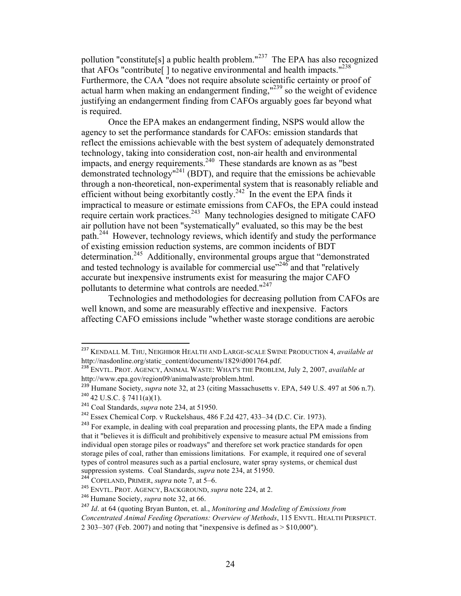pollution "constitute[s] a public health problem."<sup>237</sup> The EPA has also recognized that AFOs "contribute  $\vert$  to negative environmental and health impacts."<sup>238</sup> Furthermore, the CAA "does not require absolute scientific certainty or proof of actual harm when making an endangerment finding,"239 so the weight of evidence justifying an endangerment finding from CAFOs arguably goes far beyond what is required.

Once the EPA makes an endangerment finding, NSPS would allow the agency to set the performance standards for CAFOs: emission standards that reflect the emissions achievable with the best system of adequately demonstrated technology, taking into consideration cost, non-air health and environmental impacts, and energy requirements.<sup>240</sup> These standards are known as as "best demonstrated technology<sup>"241</sup> (BDT), and require that the emissions be achievable through a non-theoretical, non-experimental system that is reasonably reliable and efficient without being exorbitantly costly.<sup>242</sup> In the event the EPA finds it impractical to measure or estimate emissions from CAFOs, the EPA could instead require certain work practices.<sup>243</sup> Many technologies designed to mitigate CAFO air pollution have not been "systematically" evaluated, so this may be the best path.<sup>244</sup> However, technology reviews, which identify and study the performance of existing emission reduction systems, are common incidents of BDT determination.245 Additionally, environmental groups argue that "demonstrated and tested technology is available for commercial use $^{1246}$  and that "relatively" accurate but inexpensive instruments exist for measuring the major CAFO pollutants to determine what controls are needed."<sup>247</sup>

Technologies and methodologies for decreasing pollution from CAFOs are well known, and some are measurably effective and inexpensive. Factors affecting CAFO emissions include "whether waste storage conditions are aerobic

<sup>237</sup> KENDALL M. THU, NEIGHBOR HEALTH AND LARGE-SCALE SWINE PRODUCTION 4, *available at* http://nasdonline.org/static\_content/documents/1829/d001764.pdf.

<sup>238</sup> ENVTL. PROT. AGENCY, ANIMAL WASTE: WHAT'S THE PROBLEM, July 2, 2007, *available at* http://www.epa.gov/region09/animalwaste/problem.html.

<sup>&</sup>lt;sup>239</sup> Humane Society, *supra* note 32, at 23 (citing Massachusetts v. EPA, 549 U.S. 497 at 506 n.7).  $240$  42 U.S.C. § 7411(a)(1).

<sup>241</sup> Coal Standards, *supra* note 234, at 51950.

<sup>&</sup>lt;sup>242</sup> Essex Chemical Corp. v Ruckelshaus, 486 F.2d 427, 433–34 (D.C. Cir. 1973).

<sup>&</sup>lt;sup>243</sup> For example, in dealing with coal preparation and processing plants, the EPA made a finding that it "believes it is difficult and prohibitively expensive to measure actual PM emissions from individual open storage piles or roadways" and therefore set work practice standards for open storage piles of coal, rather than emissions limitations. For example, it required one of several types of control measures such as a partial enclosure, water spray systems, or chemical dust suppression systems. Coal Standards, *supra* note 234, at 51950.

<sup>244</sup> COPELAND, PRIMER, *supra* note 7, at 5–6.

<sup>245</sup> ENVTL. PROT. AGENCY, BACKGROUND, *supra* note 224, at 2.

<sup>246</sup> Humane Society, *supra* note 32, at 66.

<sup>247</sup> *Id*. at 64 (quoting Bryan Bunton, et. al., *Monitoring and Modeling of Emissions from Concentrated Animal Feeding Operations: Overview of Methods*, 115 ENVTL. HEALTH PERSPECT. 2 303–307 (Feb. 2007) and noting that "inexpensive is defined as > \$10,000").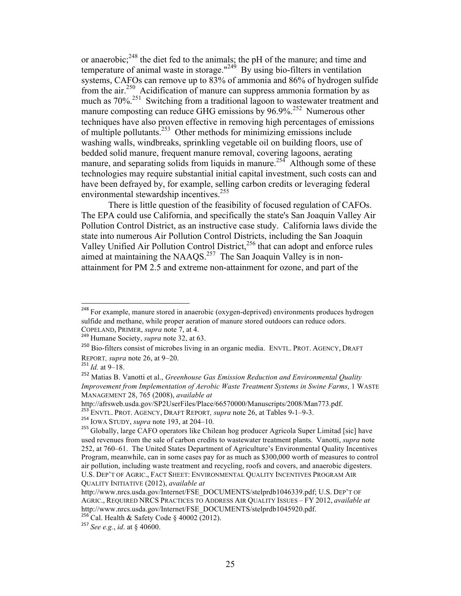or anaerobic;<sup>248</sup> the diet fed to the animals; the pH of the manure; and time and temperature of animal waste in storage."<sup>249</sup> By using bio-filters in ventilation systems, CAFOs can remove up to 83% of ammonia and 86% of hydrogen sulfide from the air.250 Acidification of manure can suppress ammonia formation by as much as 70%.251 Switching from a traditional lagoon to wastewater treatment and manure composting can reduce GHG emissions by 96.9%.<sup>252</sup> Numerous other techniques have also proven effective in removing high percentages of emissions of multiple pollutants.253 Other methods for minimizing emissions include washing walls, windbreaks, sprinkling vegetable oil on building floors, use of bedded solid manure, frequent manure removal, covering lagoons, aerating manure, and separating solids from liquids in manure.<sup>254</sup> Although some of these technologies may require substantial initial capital investment, such costs can and have been defrayed by, for example, selling carbon credits or leveraging federal environmental stewardship incentives.<sup>255</sup>

There is little question of the feasibility of focused regulation of CAFOs. The EPA could use California, and specifically the state's San Joaquin Valley Air Pollution Control District, as an instructive case study. California laws divide the state into numerous Air Pollution Control Districts, including the San Joaquin Valley Unified Air Pollution Control District,<sup>256</sup> that can adopt and enforce rules aimed at maintaining the NAAQS.<sup>257</sup> The San Joaquin Valley is in nonattainment for PM 2.5 and extreme non-attainment for ozone, and part of the

<sup>&</sup>lt;sup>248</sup> For example, manure stored in anaerobic (oxygen-deprived) environments produces hydrogen sulfide and methane, while proper aeration of manure stored outdoors can reduce odors.

COPELAND, PRIMER, *supra* note 7, at 4. <sup>249</sup> Humane Society, *supra* note 32, at 63.

<sup>&</sup>lt;sup>250</sup> Bio-filters consist of microbes living in an organic media. ENVTL. PROT. AGENCY, DRAFT REPORT*, supra* note 26, at 9–20. <sup>251</sup> *Id.* at 9–18.

<sup>252</sup> Matias B. Vanotti et al., *Greenhouse Gas Emission Reduction and Environmental Quality Improvement from Implementation of Aerobic Waste Treatment Systems in Swine Farms*, 1 WASTE MANAGEMENT 28, 765 (2008), *available at*

http://afrsweb.usda.gov/SP2UserFiles/Place/66570000/Manuscripts/2008/Man773.pdf.

<sup>253</sup> ENVTL. PROT. AGENCY, DRAFT REPORT*, supra* note 26, at Tables 9-1–9-3. <sup>254</sup> IOWA STUDY, *supra* note 193, at 204–10.

<sup>&</sup>lt;sup>255</sup> Globally, large CAFO operators like Chilean hog producer Agricola Super Limitad [sic] have used revenues from the sale of carbon credits to wastewater treatment plants. Vanotti, *supra* note 252, at 760–61. The United States Department of Agriculture's Environmental Quality Incentives Program, meanwhile, can in some cases pay for as much as \$300,000 worth of measures to control air pollution, including waste treatment and recycling, roofs and covers, and anaerobic digesters. U.S. DEP'T OF AGRIC., FACT SHEET: ENVIRONMENTAL QUALITY INCENTIVES PROGRAM AIR QUALITY INITIATIVE (2012), *available at*

http://www.nrcs.usda.gov/Internet/FSE\_DOCUMENTS/stelprdb1046339.pdf; U.S. DEP'T OF AGRIC., REQUIRED NRCS PRACTICES TO ADDRESS AIR QUALITY ISSUES – FY 2012, *available at*  http://www.nrcs.usda.gov/Internet/FSE\_DOCUMENTS/stelprdb1045920.pdf.<br><sup>256</sup> Cal. Health & Safety Code § 40002 (2012).

<sup>257</sup> *See e.g.*, *id*. at § 40600.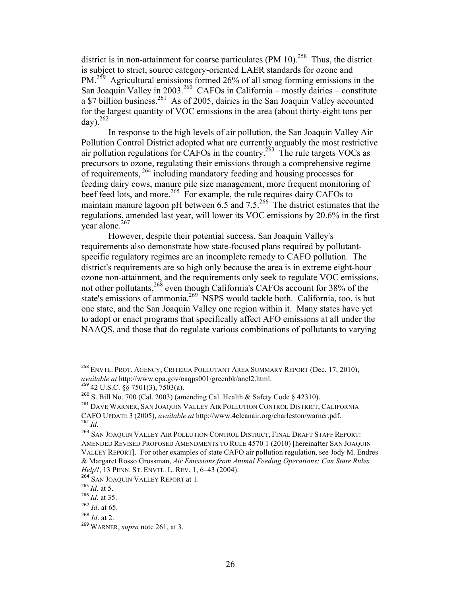district is in non-attainment for coarse particulates (PM 10).<sup>258</sup> Thus, the district is subject to strict, source category-oriented LAER standards for ozone and PM.<sup>259</sup>Agricultural emissions formed 26% of all smog forming emissions in the San Joaquin Valley in 2003.<sup>260</sup> CAFOs in California – mostly dairies – constitute a \$7 billion business.<sup>261</sup> As of 2005, dairies in the San Joaquin Valley accounted for the largest quantity of VOC emissions in the area (about thirty-eight tons per  $\text{day)}$ .  $^{262}$ 

In response to the high levels of air pollution, the San Joaquin Valley Air Pollution Control District adopted what are currently arguably the most restrictive air pollution regulations for CAFOs in the country.<sup>263</sup> The rule targets VOCs as precursors to ozone, regulating their emissions through a comprehensive regime of requirements, <sup>264</sup> including mandatory feeding and housing processes for feeding dairy cows, manure pile size management, more frequent monitoring of beef feed lots, and more.<sup>265</sup> For example, the rule requires dairy CAFOs to maintain manure lagoon pH between  $6.5$  and  $7.5^{266}$  The district estimates that the regulations, amended last year, will lower its VOC emissions by 20.6% in the first year alone.<sup>267</sup>

However, despite their potential success, San Joaquin Valley's requirements also demonstrate how state-focused plans required by pollutantspecific regulatory regimes are an incomplete remedy to CAFO pollution. The district's requirements are so high only because the area is in extreme eight-hour ozone non-attainment, and the requirements only seek to regulate VOC emissions, not other pollutants,<sup>268</sup> even though California's CAFOs account for 38% of the state's emissions of ammonia.<sup>269</sup> NSPS would tackle both. California, too, is but one state, and the San Joaquin Valley one region within it. Many states have yet to adopt or enact programs that specifically affect AFO emissions at all under the NAAQS, and those that do regulate various combinations of pollutants to varying

<sup>&</sup>lt;sup>258</sup> ENVTL. PROT. AGENCY, CRITERIA POLLUTANT AREA SUMMARY REPORT (Dec. 17, 2010), *available at* http://www.epa.gov/oaqps001/greenbk/ancl2.html. <sup>259</sup> 42 U.S.C. §§ 7501(3), 7503(a).

<sup>&</sup>lt;sup>260</sup> S. Bill No. 700 (Cal. 2003) (amending Cal. Health & Safety Code § 42310).

<sup>261</sup> DAVE WARNER, SAN JOAQUIN VALLEY AIR POLLUTION CONTROL DISTRICT, CALIFORNIA CAFO UPDATE 3 (2005), *available at* http://www.4cleanair.org/charleston/warner.pdf. <sup>262</sup> *Id*.

<sup>&</sup>lt;sup>263</sup> SAN JOAQUIN VALLEY AIR POLLUTION CONTROL DISTRICT, FINAL DRAFT STAFF REPORT: AMENDED REVISED PROPOSED AMENDMENTS TO RULE 4570 1 (2010) [hereinafter SAN JOAQUIN VALLEY REPORT]. For other examples of state CAFO air pollution regulation, see Jody M. Endres & Margaret Rosso Grossman, *Air Emissions from Animal Feeding Operations; Can State Rules Help*?, 13 PENN. ST. ENVTL. L. REV. 1, 6–43 (2004).

<sup>&</sup>lt;sup>264</sup> SAN JOAQUIN VALLEY REPORT at 1.<br><sup>265</sup> Id. at 5.

<sup>&</sup>lt;sup>266</sup> *Id.* at 35.

<sup>267</sup> *Id*. at 65.

<sup>268</sup> *Id*. at 2.

<sup>269</sup> WARNER, *supra* note 261, at 3.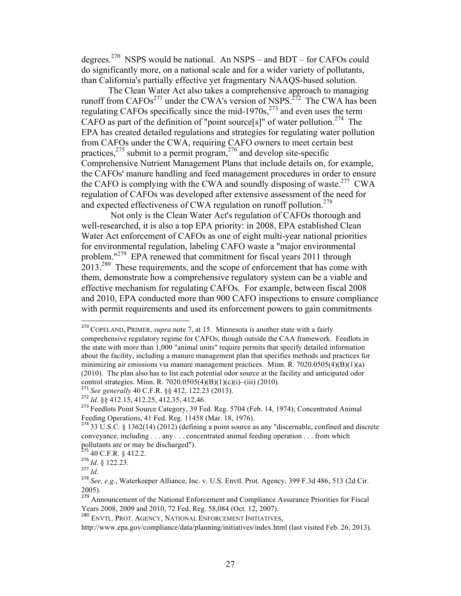degrees.<sup>270</sup> NSPS would be national. An NSPS – and BDT – for CAFOs could do significantly more, on a national scale and for a wider variety of pollutants, than California's partially effective yet fragmentary NAAQS-based solution.

The Clean Water Act also takes a comprehensive approach to managing runoff from CAFOs<sup>271</sup> under the CWA's version of NSPS.<sup>272</sup> The CWA has been regulating CAFOs specifically since the mid-1970s, $^{273}$  and even uses the term CAFO as part of the definition of "point source[s]" of water pollution.<sup>274</sup> The EPA has created detailed regulations and strategies for regulating water pollution from CAFOs under the CWA, requiring CAFO owners to meet certain best practices, $275$  submit to a permit program, $276$  and develop site-specific Comprehensive Nutrient Management Plans that include details on, for example, the CAFOs' manure handling and feed management procedures in order to ensure the CAFO is complying with the CWA and soundly disposing of waste.<sup>277</sup> CWA regulation of CAFOs was developed after extensive assessment of the need for and expected effectiveness of CWA regulation on runoff pollution.<sup>278</sup>

Not only is the Clean Water Act's regulation of CAFOs thorough and well-researched, it is also a top EPA priority: in 2008, EPA established Clean Water Act enforcement of CAFOs as one of eight multi-year national priorities for environmental regulation, labeling CAFO waste a "major environmental problem."279 EPA renewed that commitment for fiscal years 2011 through 2013.280 These requirements, and the scope of enforcement that has come with them, demonstrate how a comprehensive regulatory system can be a viable and effective mechanism for regulating CAFOs. For example, between fiscal 2008 and 2010, EPA conducted more than 900 CAFO inspections to ensure compliance with permit requirements and used its enforcement powers to gain commitments

!!!!!!!!!!!!!!!!!!!!!!!!!!!!!!!!!!!!!!!!!!!!!!!!!!!!!!!!!!!!

<sup>277</sup> *Id*.

<sup>279</sup> Announcement of the National Enforcement and Compliance Assurance Priorities for Fiscal Years 2008, 2009 and 2010, 72 Fed. Reg. 58,084 (Oct. 12, 2007).

<sup>270</sup> COPELAND, PRIMER, *supra* note 7, at 15. Minnesota is another state with a fairly comprehensive regulatory regime for CAFOs, though outside the CAA framework. Feedlots in the state with more than 1,000 "animal units" require permits that specify detailed information about the facility, including a manure management plan that specifies methods and practices for minimizing air emissions via manure management practices. Minn. R.  $7020.0505(4)(B)(1)(a)$ (2010). The plan also has to list each potential odor source at the facility and anticipated odor control strategies. Minn. R. 7020.0505(4)(B)(1)(c)(i)–(iii) (2010).<br><sup>271</sup> *See generally* 40 C.F.R. §§ 412, 122.23 (2013).

<sup>272</sup> *Id.* §§ 412.15, 412.25, 412.35, 412.46.

<sup>&</sup>lt;sup>273</sup> Feedlots Point Source Category, 39 Fed. Reg. 5704 (Feb. 14, 1974); Concentrated Animal Feeding Operations, 41 Fed. Reg. 11458 (Mar. 18, 1976).

 $^{274}$  33 U.S.C. § 1362(14) (2012) (defining a point source as any "discernable, confined and discrete conveyance, including . . . any . . . concentrated animal feeding operation . . . from which pollutants are or may be discharged").

 $2^{275}$  40 C.F.R. § 412.2.

<sup>276</sup> *Id*. § 122.23.

<sup>278</sup> *See, e.g.*, Waterkeeper Alliance, Inc. v. U.S. Envtl. Prot. Agency, 399 F.3d 486, 513 (2d Cir. 2005).

<sup>280</sup> ENVTL. PROT. AGENCY, NATIONAL ENFORCEMENT INITIATIVES,

http://www.epa.gov/compliance/data/planning/initiatives/index.html (last visited Feb. 26, 2013).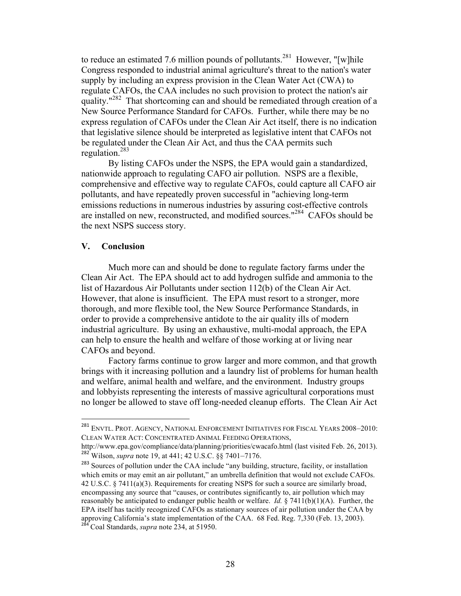to reduce an estimated 7.6 million pounds of pollutants.<sup>281</sup> However, "[w]hile Congress responded to industrial animal agriculture's threat to the nation's water supply by including an express provision in the Clean Water Act (CWA) to regulate CAFOs, the CAA includes no such provision to protect the nation's air quality." $^{282}$  That shortcoming can and should be remediated through creation of a New Source Performance Standard for CAFOs. Further, while there may be no express regulation of CAFOs under the Clean Air Act itself, there is no indication that legislative silence should be interpreted as legislative intent that CAFOs not be regulated under the Clean Air Act, and thus the CAA permits such regulation.283

By listing CAFOs under the NSPS, the EPA would gain a standardized, nationwide approach to regulating CAFO air pollution. NSPS are a flexible, comprehensive and effective way to regulate CAFOs, could capture all CAFO air pollutants, and have repeatedly proven successful in "achieving long-term emissions reductions in numerous industries by assuring cost-effective controls are installed on new, reconstructed, and modified sources."284 CAFOs should be the next NSPS success story.

#### **V. Conclusion**

!!!!!!!!!!!!!!!!!!!!!!!!!!!!!!!!!!!!!!!!!!!!!!!!!!!!!!!!!!!!

Much more can and should be done to regulate factory farms under the Clean Air Act. The EPA should act to add hydrogen sulfide and ammonia to the list of Hazardous Air Pollutants under section 112(b) of the Clean Air Act. However, that alone is insufficient. The EPA must resort to a stronger, more thorough, and more flexible tool, the New Source Performance Standards, in order to provide a comprehensive antidote to the air quality ills of modern industrial agriculture. By using an exhaustive, multi-modal approach, the EPA can help to ensure the health and welfare of those working at or living near CAFOs and beyond.

Factory farms continue to grow larger and more common, and that growth brings with it increasing pollution and a laundry list of problems for human health and welfare, animal health and welfare, and the environment. Industry groups and lobbyists representing the interests of massive agricultural corporations must no longer be allowed to stave off long-needed cleanup efforts. The Clean Air Act

<sup>&</sup>lt;sup>281</sup> ENVTL. PROT. AGENCY, NATIONAL ENFORCEMENT INITIATIVES FOR FISCAL YEARS 2008–2010: CLEAN WATER ACT: CONCENTRATED ANIMAL FEEDING OPERATIONS,

http://www.epa.gov/compliance/data/planning/priorities/cwacafo.html (last visited Feb. 26, 2013). <sup>282</sup> Wilson, *supra* note 19, at 441; 42 U.S.C. §§ 7401–7176.

<sup>&</sup>lt;sup>283</sup> Sources of pollution under the CAA include "any building, structure, facility, or installation which emits or may emit an air pollutant," an umbrella definition that would not exclude CAFOs. 42 U.S.C. § 7411(a)(3). Requirements for creating NSPS for such a source are similarly broad, encompassing any source that "causes, or contributes significantly to, air pollution which may reasonably be anticipated to endanger public health or welfare. *Id.* § 7411(b)(1)(A). Further, the EPA itself has tacitly recognized CAFOs as stationary sources of air pollution under the CAA by approving California's state implementation of the CAA. 68 Fed. Reg. 7,330 (Feb. 13, 2003). <sup>284</sup> Coal Standards, *supra* note 234, at 51950.